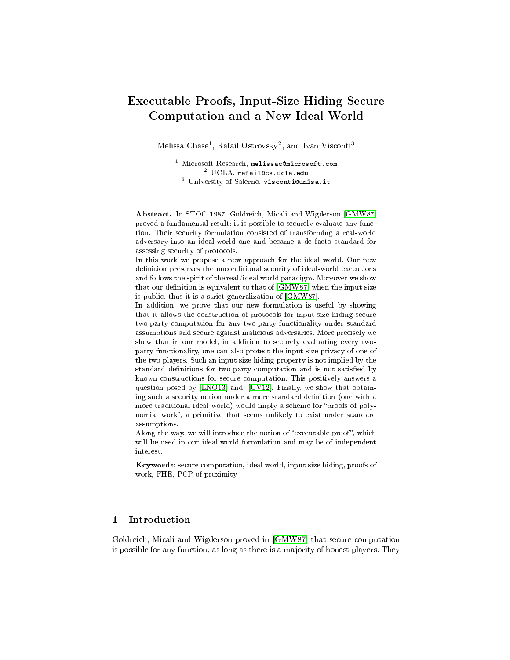# Executable Proofs, Input-Size Hiding Secure Computation and a New Ideal World

Melissa Chase<sup>1</sup>, Rafail Ostrovsky<sup>2</sup>, and Ivan Visconti<sup>3</sup>

<sup>1</sup> Microsoft Research, melissac@microsoft.com  $2 \text{ UCLA}, \text{radil@cs.ucla.edu}$ <sup>3</sup> University of Salerno, visconti@unisa.it

Abstract. In STOC 1987, Goldreich, Micali and Wigderson [\[GMW87\]](#page-28-0) proved a fundamental result: it is possible to securely evaluate any function. Their security formulation consisted of transforming a real-world adversary into an ideal-world one and became a de facto standard for assessing security of protocols.

In this work we propose a new approach for the ideal world. Our new definition preserves the unconditional security of ideal-world executions and follows the spirit of the real/ideal world paradigm. Moreover we show that our definition is equivalent to that of [\[GMW87\]](#page-28-0) when the input size is public, thus it is a strict generalization of [\[GMW87\]](#page-28-0).

In addition, we prove that our new formulation is useful by showing that it allows the construction of protocols for input-size hiding secure two-party computation for any two-party functionality under standard assumptions and secure against malicious adversaries. More precisely we show that in our model, in addition to securely evaluating every twoparty functionality, one can also protect the input-size privacy of one of the two players. Such an input-size hiding property is not implied by the standard definitions for two-party computation and is not satisfied by known constructions for secure computation. This positively answers a question posed by [\[LNO13\]](#page-28-1) and [\[CV12\]](#page-28-2). Finally, we show that obtaining such a security notion under a more standard definition (one with a more traditional ideal world) would imply a scheme for "proofs of polynomial work", a primitive that seems unlikely to exist under standard assumptions.

Along the way, we will introduce the notion of "executable proof", which will be used in our ideal-world formulation and may be of independent interest.

Keywords: secure computation, ideal world, input-size hiding, proofs of work, FHE, PCP of proximity.

## <span id="page-0-0"></span>1 Introduction

Goldreich, Micali and Wigderson proved in [\[GMW87\]](#page-28-0) that secure computation is possible for any function, as long as there is a majority of honest players. They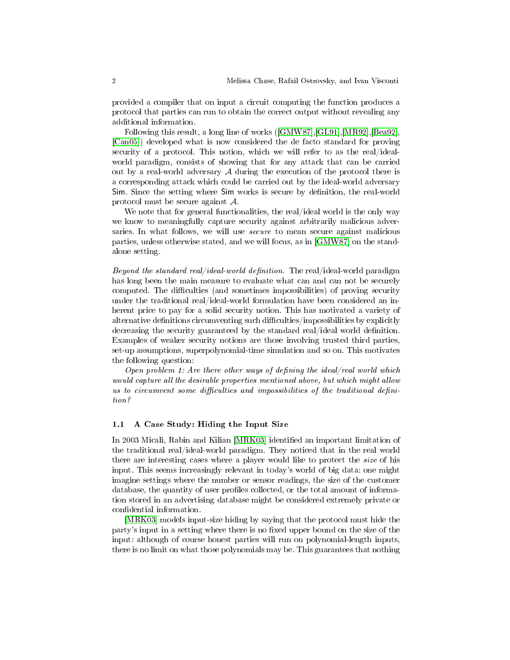provided a compiler that on input a circuit computing the function produces a protocol that parties can run to obtain the correct output without revealing any additional information.

Following this result, a long line of works ([\[GMW87\]](#page-28-0),[\[GL91\]](#page-28-3),[\[MR92\]](#page-28-4),[\[Bea92\]](#page-27-0), [\[Can05\]](#page-27-1)) developed what is now considered the de facto standard for proving security of a protocol. This notion, which we will refer to as the real/idealworld paradigm, consists of showing that for any attack that can be carried out by a real-world adversary  $A$  during the execution of the protocol there is a corresponding attack which could be carried out by the ideal-world adversary Sim. Since the setting where Sim works is secure by definition, the real-world protocol must be secure against A.

We note that for general functionalities, the real/ideal world is the only way we know to meaningfully capture security against arbitrarily malicious adversaries. In what follows, we will use *secure* to mean secure against malicious parties, unless otherwise stated, and we will focus, as in [\[GMW87\]](#page-28-0) on the standalone setting.

Beyond the standard real/ideal-world definition. The real/ideal-world paradigm has long been the main measure to evaluate what can and can not be securely computed. The difficulties (and sometimes impossibilities) of proving security under the traditional real/ideal-world formulation have been considered an inherent price to pay for a solid security notion. This has motivated a variety of alternative definitions circumventing such difficulties/impossibilities by explicitly decreasing the security guaranteed by the standard real/ideal world definition. Examples of weaker security notions are those involving trusted third parties, set-up assumptions, superpolynomial-time simulation and so on. This motivates the following question:

Open problem 1: Are there other ways of defining the ideal/real world which would capture all the desirable properties mentioned above, but which might allow us to circumvent some difficulties and impossibilities of the traditional definition?

#### 1.1 A Case Study: Hiding the Input Size

In 2003 Micali, Rabin and Kilian [\[MRK03\]](#page-28-5) identified an important limitation of the traditional real/ideal-world paradigm. They noticed that in the real world there are interesting cases where a player would like to protect the size of his input. This seems increasingly relevant in today's world of big data: one might imagine settings where the number or sensor readings, the size of the customer database, the quantity of user profiles collected, or the total amount of information stored in an advertising database might be considered extremely private or condential information.

[\[MRK03\]](#page-28-5) models input-size hiding by saying that the protocol must hide the party's input in a setting where there is no fixed upper bound on the size of the input: although of course honest parties will run on polynomial-length inputs, there is no limit on what those polynomials may be. This guarantees that nothing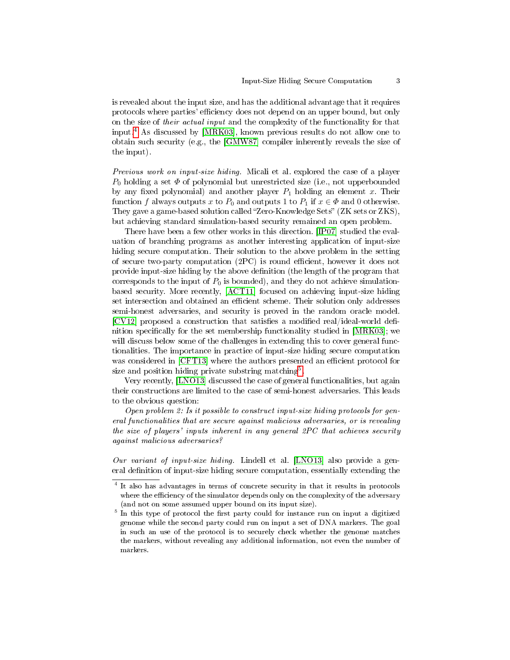is revealed about the input size, and has the additional advantage that it requires protocols where parties' efficiency does not depend on an upper bound, but only on the size of their actual input and the complexity of the functionality for that input.[4](#page-2-0) As discussed by [\[MRK03\]](#page-28-5), known previous results do not allow one to obtain such security (e.g., the [\[GMW87\]](#page-28-0) compiler inherently reveals the size of the input).

Previous work on input-size hiding. Micali et al. explored the case of a player  $P_0$  holding a set  $\Phi$  of polynomial but unrestricted size (i.e., not upperbounded by any fixed polynomial) and another player  $P_1$  holding an element x. Their function f always outputs x to  $P_0$  and outputs 1 to  $P_1$  if  $x \in \Phi$  and 0 otherwise. They gave a game-based solution called "Zero-Knowledge Sets" (ZK sets or ZKS), but achieving standard simulation-based security remained an open problem.

There have been a few other works in this direction. [\[IP07\]](#page-28-6) studied the evaluation of branching programs as another interesting application of input-size hiding secure computation. Their solution to the above problem in the setting of secure two-party computation (2PC) is round ecient, however it does not provide input-size hiding by the above definition (the length of the program that corresponds to the input of  $P_0$  is bounded), and they do not achieve simulationbased security. More recently, [\[ACT11\]](#page-27-2) focused on achieving input-size hiding set intersection and obtained an efficient scheme. Their solution only addresses semi-honest adversaries, and security is proved in the random oracle model.  $[CV12]$  proposed a construction that satisfies a modified real/ideal-world defi-nition specifically for the set membership functionality studied in [\[MRK03\]](#page-28-5); we will discuss below some of the challenges in extending this to cover general functionalities. The importance in practice of input-size hiding secure computation was considered in [\[CFT13\]](#page-27-3) where the authors presented an efficient protocol for size and position hiding private substring matching<sup>[5](#page-2-1)</sup>.

Very recently, [\[LNO13\]](#page-28-1) discussed the case of general functionalities, but again their constructions are limited to the case of semi-honest adversaries. This leads to the obvious question:

Open problem 2: Is it possible to construct input-size hiding protocols for general functionalities that are secure against malicious adversaries, or is revealing the size of players' inputs inherent in any general 2PC that achieves security against malicious adversaries?

Our variant of input-size hiding. Lindell et al. [\[LNO13\]](#page-28-1) also provide a general definition of input-size hiding secure computation, essentially extending the

<span id="page-2-0"></span><sup>&</sup>lt;sup>4</sup> It also has advantages in terms of concrete security in that it results in protocols where the efficiency of the simulator depends only on the complexity of the adversary (and not on some assumed upper bound on its input size).

<span id="page-2-1"></span> $5$  In this type of protocol the first party could for instance run on input a digitized genome while the second party could run on input a set of DNA markers. The goal in such an use of the protocol is to securely check whether the genome matches the markers, without revealing any additional information, not even the number of markers.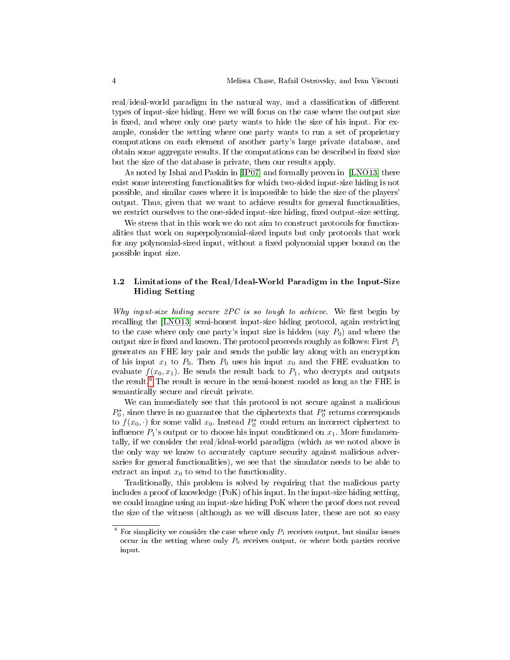real/ideal-world paradigm in the natural way, and a classification of different types of input-size hiding. Here we will focus on the case where the output size is fixed, and where only one party wants to hide the size of his input. For example, consider the setting where one party wants to run a set of proprietary computations on each element of another party's large private database, and obtain some aggregate results. If the computations can be described in fixed size but the size of the database is private, then our results apply.

As noted by Ishai and Paskin in [\[IP07\]](#page-28-6) and formally proven in [\[LNO13\]](#page-28-1) there exist some interesting functionalities for which two-sided input-size hiding is not possible, and similar cases where it is impossible to hide the size of the players' output. Thus, given that we want to achieve results for general functionalities, we restrict ourselves to the one-sided input-size hiding, fixed output-size setting.

We stress that in this work we do not aim to construct protocols for functionalities that work on superpolynomial-sized inputs but only protocols that work for any polynomial-sized input, without a fixed polynomial upper bound on the possible input size.

## 1.2 Limitations of the Real/Ideal-World Paradigm in the Input-Size Hiding Setting

Why input-size hiding secure 2PC is so tough to achieve. We first begin by recalling the [\[LNO13\]](#page-28-1) semi-honest input-size hiding protocol, again restricting to the case where only one party's input size is hidden (say  $P_0$ ) and where the output size is fixed and known. The protocol proceeds roughly as follows: First  $P_1$ generates an FHE key pair and sends the public key along with an encryption of his input  $x_1$  to  $P_0$ . Then  $P_0$  uses his input  $x_0$  and the FHE evaluation to evaluate  $f(x_0, x_1)$ . He sends the result back to  $P_1$ , who decrypts and outputs the result.<sup>[6](#page-3-0)</sup> The result is secure in the semi-honest model as long as the FHE is semantically secure and circuit private.

We can immediately see that this protocol is not secure against a malicious  $P_0^{\star}$ , since there is no guarantee that the ciphertexts that  $P_0^{\star}$  returns corresponds to  $f(x_0, \cdot)$  for some valid  $x_0$ . Instead  $P_0^{\star}$  could return an incorrect ciphertext to influence  $P_1$ 's output or to choose his input conditioned on  $x_1$ . More fundamentally, if we consider the real/ideal-world paradigm (which as we noted above is the only way we know to accurately capture security against malicious adversaries for general functionalities), we see that the simulator needs to be able to extract an input  $x_0$  to send to the functionality.

Traditionally, this problem is solved by requiring that the malicious party includes a proof of knowledge (PoK) of his input. In the input-size hiding setting, we could imagine using an input-size hiding PoK where the proof does not reveal the size of the witness (although as we will discuss later, these are not so easy

<span id="page-3-0"></span> $6$  For simplicity we consider the case where only  $P_1$  receives output, but similar issues occur in the setting where only  $P_0$  receives output, or where both parties receive input.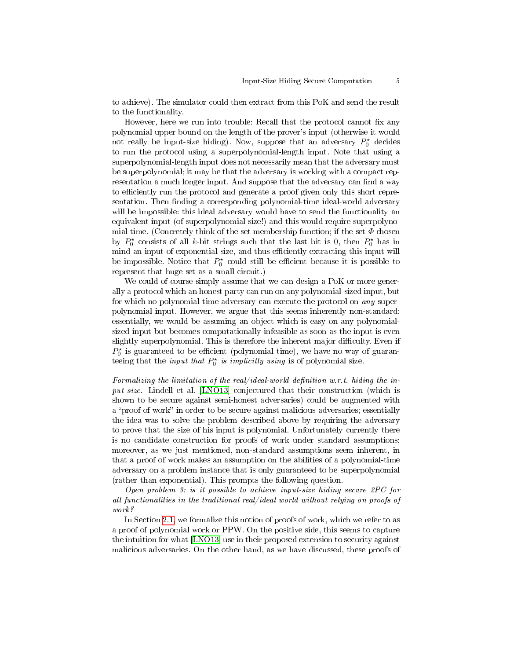to achieve). The simulator could then extract from this PoK and send the result to the functionality.

However, here we run into trouble: Recall that the protocol cannot fix any polynomial upper bound on the length of the prover's input (otherwise it would not really be input-size hiding). Now, suppose that an adversary  $P_0^{\star}$  decides to run the protocol using a superpolynomial-length input. Note that using a superpolynomial-length input does not necessarily mean that the adversary must be superpolynomial; it may be that the adversary is working with a compact representation a much longer input. And suppose that the adversary can find a way to efficiently run the protocol and generate a proof given only this short representation. Then finding a corresponding polynomial-time ideal-world adversary will be impossible: this ideal adversary would have to send the functionality an equivalent input (of superpolynomial size!) and this would require superpolynomial time. (Concretely think of the set membership function; if the set  $\Phi$  chosen by  $P_0^*$  consists of all k-bit strings such that the last bit is 0, then  $P_0^*$  has in mind an input of exponential size, and thus efficiently extracting this input will be impossible. Notice that  $P_0^{\star}$  could still be efficient because it is possible to represent that huge set as a small circuit.)

We could of course simply assume that we can design a PoK or more generally a protocol which an honest party can run on any polynomial-sized input, but for which no polynomial-time adversary can execute the protocol on any superpolynomial input. However, we argue that this seems inherently non-standard: essentially, we would be assuming an object which is easy on any polynomialsized input but becomes computationally infeasible as soon as the input is even slightly superpolynomial. This is therefore the inherent major difficulty. Even if  $P_0^{\star}$  is guaranteed to be efficient (polynomial time), we have no way of guaranteeing that the *input that*  $P_0^*$  *is implicitly using* is of polynomial size.

Formalizing the limitation of the real/ideal-world definition w.r.t. hiding the input size. Lindell et al. [\[LNO13\]](#page-28-1) conjectured that their construction (which is shown to be secure against semi-honest adversaries) could be augmented with a "proof of work" in order to be secure against malicious adversaries; essentially the idea was to solve the problem described above by requiring the adversary to prove that the size of his input is polynomial. Unfortunately currently there is no candidate construction for proofs of work under standard assumptions; moreover, as we just mentioned, non-standard assumptions seem inherent, in that a proof of work makes an assumption on the abilities of a polynomial-time adversary on a problem instance that is only guaranteed to be superpolynomial (rather than exponential). This prompts the following question.

Open problem 3: is it possible to achieve input-size hiding secure 2PC for all functionalities in the traditional real/ideal world without relying on proofs of work?

In Section [2.1,](#page-11-0) we formalize this notion of proofs of work, which we refer to as a proof of polynomial work or PPW. On the positive side, this seems to capture the intuition for what [\[LNO13\]](#page-28-1) use in their proposed extension to security against malicious adversaries. On the other hand, as we have discussed, these proofs of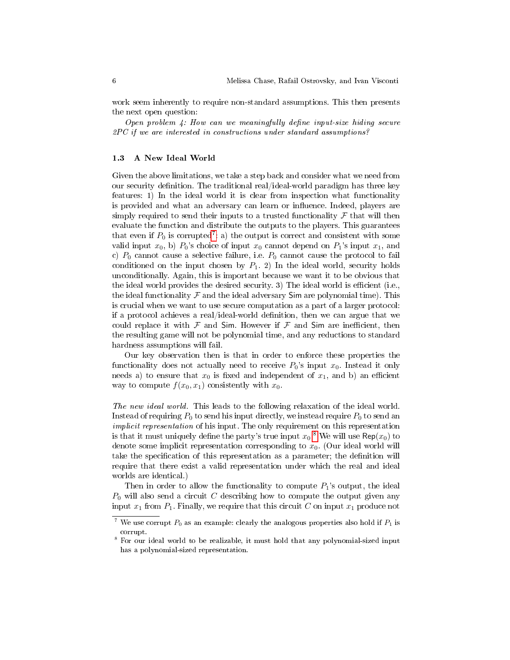work seem inherently to require non-standard assumptions. This then presents the next open question:

Open problem  $4$ : How can we meaningfully define input-size hiding secure 2PC if we are interested in constructions under standard assumptions?

#### 1.3 A New Ideal World

Given the above limitations, we take a step back and consider what we need from our security definition. The traditional real/ideal-world paradigm has three key features: 1) In the ideal world it is clear from inspection what functionality is provided and what an adversary can learn or influence. Indeed, players are simply required to send their inputs to a trusted functionality  $\mathcal F$  that will then evaluate the function and distribute the outputs to the players. This guarantees that even if  $P_0$  is corrupted<sup>[7](#page-5-0)</sup>: a) the output is correct and consistent with some valid input  $x_0$ , b)  $P_0$ 's choice of input  $x_0$  cannot depend on  $P_1$ 's input  $x_1$ , and c)  $P_0$  cannot cause a selective failure, i.e.  $P_0$  cannot cause the protocol to fail conditioned on the input chosen by  $P_1$ . 2) In the ideal world, security holds unconditionally. Again, this is important because we want it to be obvious that the ideal world provides the desired security. 3) The ideal world is efficient (i.e., the ideal functionality  $\mathcal F$  and the ideal adversary  $\mathsf{Sim}$  are polynomial time). This is crucial when we want to use secure computation as a part of a larger protocol: if a protocol achieves a real/ideal-world definition, then we can argue that we could replace it with  $\mathcal F$  and Sim. However if  $\mathcal F$  and Sim are inefficient, then the resulting game will not be polynomial time, and any reductions to standard hardness assumptions will fail.

Our key observation then is that in order to enforce these properties the functionality does not actually need to receive  $P_0$ 's input  $x_0$ . Instead it only needs a) to ensure that  $x_0$  is fixed and independent of  $x_1$ , and b) an efficient way to compute  $f(x_0, x_1)$  consistently with  $x_0$ .

The new ideal world. This leads to the following relaxation of the ideal world. Instead of requiring  $P_0$  to send his input directly, we instead require  $P_0$  to send an implicit representation of his input. The only requirement on this representation is that it must uniquely define the party's true input  $x_0$ .<sup>[8](#page-5-1)</sup> We will use  $\mathsf{Rep}(x_0)$  to denote some implicit representation corresponding to  $x_0$ . (Our ideal world will take the specification of this representation as a parameter; the definition will require that there exist a valid representation under which the real and ideal worlds are identical.)

Then in order to allow the functionality to compute  $P_1$ 's output, the ideal  $P_0$  will also send a circuit C describing how to compute the output given any input  $x_1$  from  $P_1$ . Finally, we require that this circuit C on input  $x_1$  produce not

<span id="page-5-0"></span><sup>&</sup>lt;sup>7</sup> We use corrupt  $P_0$  as an example: clearly the analogous properties also hold if  $P_1$  is corrupt.

<span id="page-5-1"></span><sup>8</sup> For our ideal world to be realizable, it must hold that any polynomial-sized input has a polynomial-sized representation.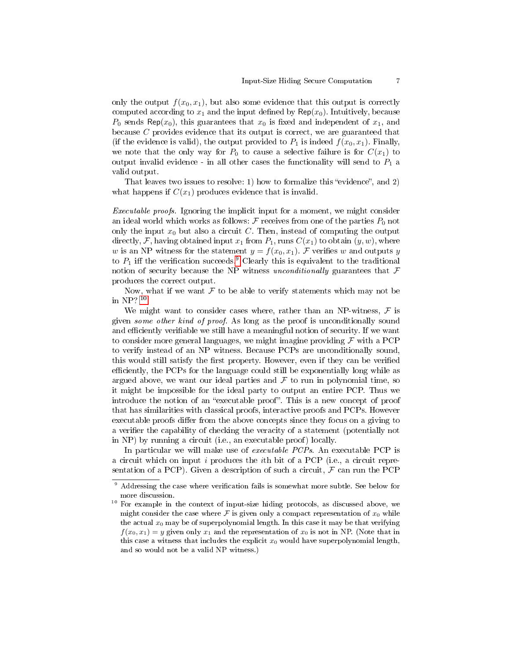only the output  $f(x_0, x_1)$ , but also some evidence that this output is correctly computed according to  $x_1$  and the input defined by Rep( $x_0$ ). Intuitively, because  $P_0$  sends Rep( $x_0$ ), this guarantees that  $x_0$  is fixed and independent of  $x_1$ , and because C provides evidence that its output is correct, we are guaranteed that (if the evidence is valid), the output provided to  $P_1$  is indeed  $f(x_0, x_1)$ . Finally, we note that the only way for  $P_0$  to cause a selective failure is for  $C(x_1)$  to output invalid evidence - in all other cases the functionality will send to  $P_1$  a valid output.

That leaves two issues to resolve: 1) how to formalize this "evidence", and 2) what happens if  $C(x_1)$  produces evidence that is invalid.

Executable proofs. Ignoring the implicit input for a moment, we might consider an ideal world which works as follows:  $\mathcal F$  receives from one of the parties  $P_0$  not only the input  $x_0$  but also a circuit C. Then, instead of computing the output directly, F, having obtained input  $x_1$  from  $P_1$ , runs  $C(x_1)$  to obtain  $(y, w)$ , where w is an NP witness for the statement  $y = f(x_0, x_1)$ . F verifies w and outputs y to  $P_1$  iff the verification succeeds.<sup>[9](#page-6-0)</sup> Clearly this is equivalent to the traditional notion of security because the NP witness unconditionally guarantees that  $\mathcal F$ produces the correct output.

Now, what if we want  $\mathcal F$  to be able to verify statements which may not be in NP? [10](#page-6-1)

We might want to consider cases where, rather than an NP-witness,  $\mathcal F$  is given some other kind of proof. As long as the proof is unconditionally sound and efficiently verifiable we still have a meaningful notion of security. If we want to consider more general languages, we might imagine providing  $\mathcal F$  with a PCP to verify instead of an NP witness. Because PCPs are unconditionally sound, this would still satisfy the first property. However, even if they can be verified efficiently, the PCPs for the language could still be exponentially long while as argued above, we want our ideal parties and  $\mathcal F$  to run in polynomial time, so it might be impossible for the ideal party to output an entire PCP. Thus we introduce the notion of an "executable proof". This is a new concept of proof that has similarities with classical proofs, interactive proofs and PCPs. However executable proofs differ from the above concepts since they focus on a giving to a verifier the capability of checking the veracity of a statement (potentially not in NP) by running a circuit (i.e., an executable proof) locally.

In particular we will make use of *executable PCPs*. An executable PCP is a circuit which on input  $i$  produces the  $i$ th bit of a PCP (i.e., a circuit representation of a PCP). Given a description of such a circuit,  $\mathcal F$  can run the PCP

<span id="page-6-0"></span>Addressing the case where verification fails is somewhat more subtle. See below for more discussion.

<span id="page-6-1"></span><sup>10</sup> For example in the context of input-size hiding protocols, as discussed above, we might consider the case where  $\mathcal F$  is given only a compact representation of  $x_0$  while the actual  $x_0$  may be of superpolynomial length. In this case it may be that verifying  $f(x_0, x_1) = y$  given only  $x_1$  and the representation of  $x_0$  is not in NP. (Note that in this case a witness that includes the explicit  $x_0$  would have superpolynomial length, and so would not be a valid NP witness.)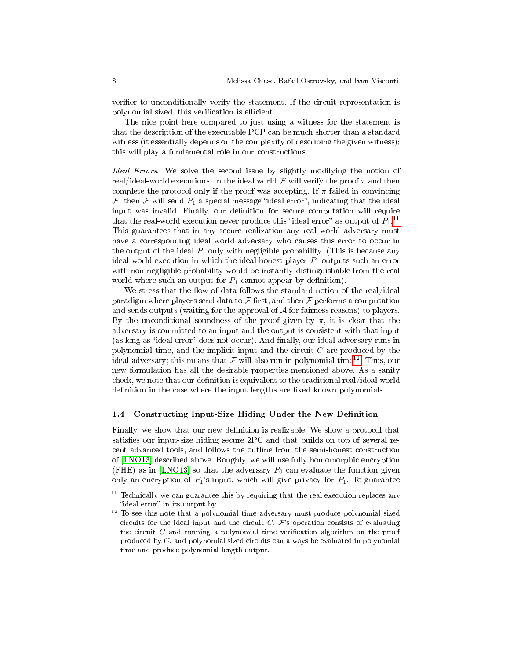verifier to unconditionally verify the statement. If the circuit representation is polynomial sized, this verification is efficient.

The nice point here compared to just using a witness for the statement is that the description of the executable PCP can be much shorter than a standard witness (it essentially depends on the complexity of describing the given witness); this will play a fundamental role in our constructions.

Ideal Errors. We solve the second issue by slightly modifying the notion of real/ideal-world executions. In the ideal world  $\mathcal F$  will verify the proof  $\pi$  and then complete the protocol only if the proof was accepting. If  $\pi$  failed in convincing  $\mathcal F$ , then  $\mathcal F$  will send  $P_1$  a special message "ideal error", indicating that the ideal input was invalid. Finally, our definition for secure computation will require that the real-world execution never produce this "ideal error" as output of  $P_1$ .<sup>[11](#page-7-0)</sup> This guarantees that in any secure realization any real world adversary must have a corresponding ideal world adversary who causes this error to occur in the output of the ideal  $P_1$  only with negligible probability. (This is because any ideal world execution in which the ideal honest player  $P_1$  outputs such an error with non-negligible probability would be instantly distinguishable from the real world where such an output for  $P_1$  cannot appear by definition).

We stress that the flow of data follows the standard notion of the real/ideal paradigm where players send data to  $\mathcal F$  first, and then  $\mathcal F$  performs a computation and sends outputs (waiting for the approval of  $A$  for fairness reasons) to players. By the unconditional soundness of the proof given by  $\pi$ , it is clear that the adversary is committed to an input and the output is consistent with that input (as long as "ideal error" does not occur). And finally, our ideal adversary runs in polynomial time, and the implicit input and the circuit  $C$  are produced by the ideal adversary; this means that  $\mathcal F$  will also run in polynomial time<sup>[12](#page-7-1)</sup>. Thus, our new formulation has all the desirable properties mentioned above. As a sanity check, we note that our definition is equivalent to the traditional real/ideal-world definition in the case where the input lengths are fixed known polynomials.

#### 1.4 Constructing Input-Size Hiding Under the New Definition

Finally, we show that our new definition is realizable. We show a protocol that satisfies our input-size hiding secure 2PC and that builds on top of several recent advanced tools, and follows the outline from the semi-honest construction of [\[LNO13\]](#page-28-1) described above. Roughly, we will use fully homomorphic encryption (FHE) as in [\[LNO13\]](#page-28-1) so that the adversary  $P_0$  can evaluate the function given only an encryption of  $P_1$ 's input, which will give privacy for  $P_1$ . To guarantee

<span id="page-7-0"></span> $11$  Technically we can guarantee this by requiring that the real execution replaces any "ideal error" in its output by  $\bot$ .

<span id="page-7-1"></span><sup>&</sup>lt;sup>12</sup> To see this note that a polynomial time adversary must produce polynomial sized circuits for the ideal input and the circuit  $C, \mathcal{F}$ 's operation consists of evaluating the circuit  $C$  and running a polynomial time verification algorithm on the proof produced by C, and polynomial sized circuits can always be evaluated in polynomial time and produce polynomial length output.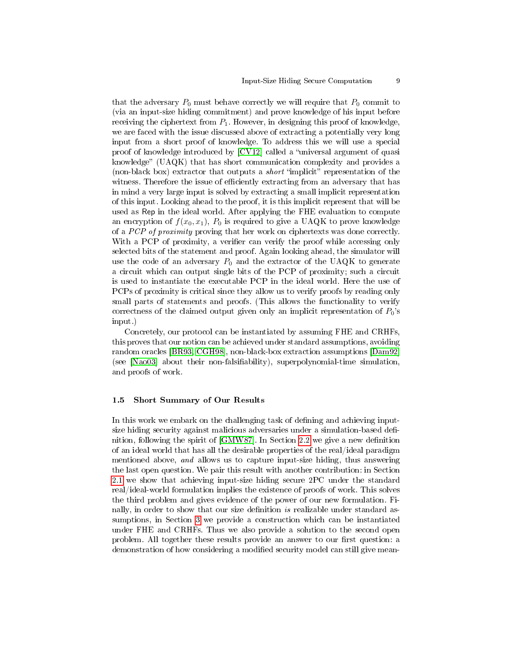that the adversary  $P_0$  must behave correctly we will require that  $P_0$  commit to (via an input-size hiding commitment) and prove knowledge of his input before receiving the ciphertext from  $P_1$ . However, in designing this proof of knowledge, we are faced with the issue discussed above of extracting a potentially very long input from a short proof of knowledge. To address this we will use a special proof of knowledge introduced by  $\left[$  CV12 $\right]$  called a "universal argument of quasi knowledge"  $(UAQK)$  that has short communication complexity and provides a (non-black box) extractor that outputs a *short* "implicit" representation of the witness. Therefore the issue of efficiently extracting from an adversary that has in mind a very large input is solved by extracting a small implicit representation of this input. Looking ahead to the proof, it is this implicit represent that will be used as Rep in the ideal world. After applying the FHE evaluation to compute an encryption of  $f(x_0, x_1)$ ,  $P_0$  is required to give a UAQK to prove knowledge of a PCP of proximity proving that her work on ciphertexts was done correctly. With a PCP of proximity, a verifier can verify the proof while accessing only selected bits of the statement and proof. Again looking ahead, the simulator will use the code of an adversary  $P_0$  and the extractor of the UAQK to generate a circuit which can output single bits of the PCP of proximity; such a circuit is used to instantiate the executable PCP in the ideal world. Here the use of PCPs of proximity is critical since they allow us to verify proofs by reading only small parts of statements and proofs. (This allows the functionality to verify correctness of the claimed output given only an implicit representation of  $P_0$ 's input.)

Concretely, our protocol can be instantiated by assuming FHE and CRHFs, this proves that our notion can be achieved under standard assumptions, avoiding random oracles [\[BR93,](#page-27-4) [CGH98\]](#page-28-7), non-black-box extraction assumptions [\[Dam92\]](#page-28-8) (see [\[Nao03\]](#page-29-0) about their non-falsiability), superpolynomial-time simulation, and proofs of work.

#### 1.5 Short Summary of Our Results

In this work we embark on the challenging task of defining and achieving inputsize hiding security against malicious adversaries under a simulation-based definition, following the spirit of  $[GMW87]$ . In Section [2.2](#page-13-0) we give a new definition of an ideal world that has all the desirable properties of the real/ideal paradigm mentioned above, and allows us to capture input-size hiding, thus answering the last open question. We pair this result with another contribution: in Section [2.1](#page-11-0) we show that achieving input-size hiding secure 2PC under the standard real/ideal-world formulation implies the existence of proofs of work. This solves the third problem and gives evidence of the power of our new formulation. Finally, in order to show that our size definition is realizable under standard assumptions, in Section [3](#page-19-0) we provide a construction which can be instantiated under FHE and CRHFs. Thus we also provide a solution to the second open problem. All together these results provide an answer to our first question: a demonstration of how considering a modified security model can still give mean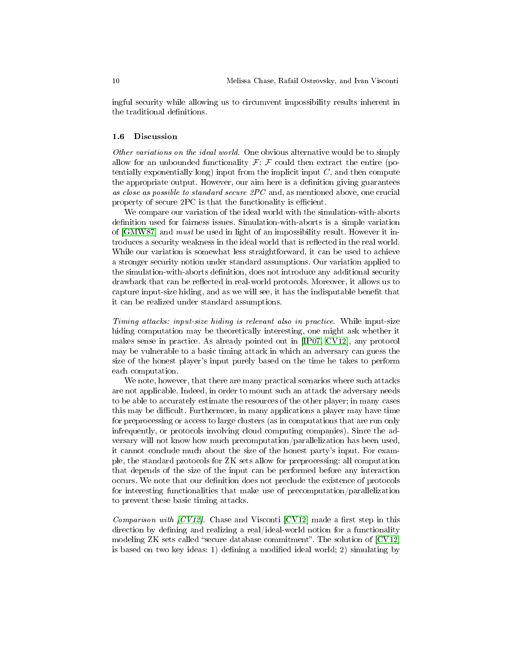ingful security while allowing us to circumvent impossibility results inherent in the traditional definitions.

## 1.6 Discussion

Other variations on the ideal world. One obvious alternative would be to simply allow for an unbounded functionality  $\mathcal{F}$ :  $\mathcal{F}$  could then extract the entire (potentially exponentially long) input from the implicit input  $C$ , and then compute the appropriate output. However, our aim here is a definition giving guarantees as close as possible to standard secure 2PC and, as mentioned above, one crucial property of secure 2PC is that the functionality is efficient.

We compare our variation of the ideal world with the simulation-with-aborts definition used for fairness issues. Simulation-with-aborts is a simple variation of [\[GMW87\]](#page-28-0) and must be used in light of an impossibility result. However it introduces a security weakness in the ideal world that is reflected in the real world. While our variation is somewhat less straightforward, it can be used to achieve a stronger security notion under standard assumptions. Our variation applied to the simulation-with-aborts definition, does not introduce any additional security drawback that can be reflected in real-world protocols. Moreover, it allows us to capture input-size hiding, and as we will see, it has the indisputable benefit that it can be realized under standard assumptions.

Timing attacks: input-size hiding is relevant also in practice. While input-size hiding computation may be theoretically interesting, one might ask whether it makes sense in practice. As already pointed out in [\[IP07,](#page-28-6) [CV12\]](#page-28-2), any protocol may be vulnerable to a basic timing attack in which an adversary can guess the size of the honest player's input purely based on the time he takes to perform each computation.

We note, however, that there are many practical scenarios where such attacks are not applicable. Indeed, in order to mount such an attack the adversary needs to be able to accurately estimate the resources of the other player; in many cases this may be difficult. Furthermore, in many applications a player may have time for preprocessing or access to large clusters (as in computations that are run only infrequently, or protocols involving cloud computing companies). Since the adversary will not know how much precomputation/parallelization has been used, it cannot conclude much about the size of the honest party's input. For example, the standard protocols for ZK sets allow for preprocessing: all computation that depends of the size of the input can be performed before any interaction occurs. We note that our definition does not preclude the existence of protocols for interesting functionalities that make use of precomputation/parallelization to prevent these basic timing attacks.

*Comparison with*  $[CV12]$ *.* Chase and Visconti  $[CV12]$  made a first step in this direction by defining and realizing a real/ideal-world notion for a functionality modeling  $ZK$  sets called "secure database commitment". The solution of  $[CV12]$ is based on two key ideas: 1) defining a modified ideal world; 2) simulating by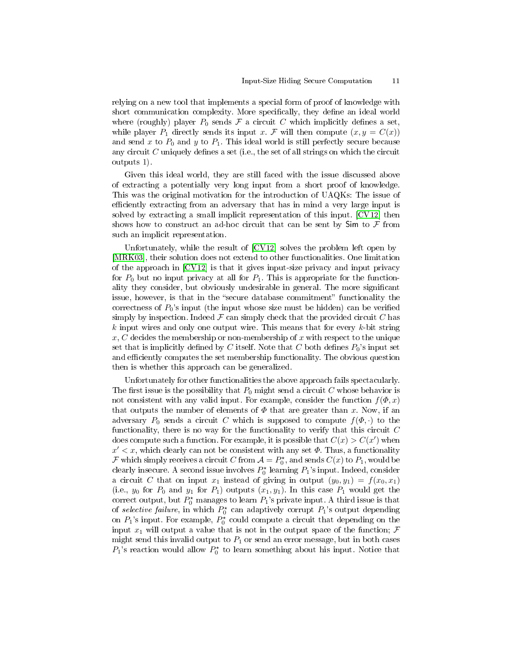relying on a new tool that implements a special form of proof of knowledge with short communication complexity. More specifically, they define an ideal world where (roughly) player  $P_0$  sends  $\mathcal F$  a circuit C which implicitly defines a set, while player  $P_1$  directly sends its input x. F will then compute  $(x, y = C(x))$ and send x to  $P_0$  and y to  $P_1$ . This ideal world is still perfectly secure because any circuit  $C$  uniquely defines a set (i.e., the set of all strings on which the circuit outputs 1).

Given this ideal world, they are still faced with the issue discussed above of extracting a potentially very long input from a short proof of knowledge. This was the original motivation for the introduction of UAQKs: The issue of efficiently extracting from an adversary that has in mind a very large input is solved by extracting a small implicit representation of this input. [\[CV12\]](#page-28-2) then shows how to construct an ad-hoc circuit that can be sent by  $Sim$  to  $\mathcal F$  from such an implicit representation.

Unfortunately, while the result of [\[CV12\]](#page-28-2) solves the problem left open by [\[MRK03\]](#page-28-5), their solution does not extend to other functionalities. One limitation of the approach in [\[CV12\]](#page-28-2) is that it gives input-size privacy and input privacy for  $P_0$  but no input privacy at all for  $P_1$ . This is appropriate for the functionality they consider, but obviously undesirable in general. The more significant issue, however, is that in the "secure database commitment" functionality the correctness of  $P_0$ 's input (the input whose size must be hidden) can be verified simply by inspection. Indeed  $\mathcal F$  can simply check that the provided circuit  $C$  has k input wires and only one output wire. This means that for every  $k$ -bit string  $x, C$  decides the membership or non-membership of x with respect to the unique set that is implicitly defined by C itself. Note that C both defines  $P_0$ 's input set and efficiently computes the set membership functionality. The obvious question then is whether this approach can be generalized.

Unfortunately for other functionalities the above approach fails spectacularly. The first issue is the possibility that  $P_0$  might send a circuit C whose behavior is not consistent with any valid input. For example, consider the function  $f(\Phi, x)$ that outputs the number of elements of  $\Phi$  that are greater than x. Now, if an adversary  $P_0$  sends a circuit C which is supposed to compute  $f(\Phi, \cdot)$  to the functionality, there is no way for the functionality to verify that this circuit  $C$ does compute such a function. For example, it is possible that  $C(x) > C(x')$  when  $x' < x$ , which clearly can not be consistent with any set  $\Phi$ . Thus, a functionality  $\mathcal F$  which simply receives a circuit  $C$  from  $\mathcal A = P_0^\star,$  and sends  $C(x)$  to  $P_1,$  would be clearly insecure. A second issue involves  $P_0^{\star}$  learning  $P_1$ 's input. Indeed, consider a circuit C that on input  $x_1$  instead of giving in output  $(y_0, y_1) = f(x_0, x_1)$ (i.e.,  $y_0$  for  $P_0$  and  $y_1$  for  $P_1$ ) outputs  $(x_1, y_1)$ . In this case  $P_1$  would get the correct output, but  $P_0^{\star}$  manages to learn  $P_1$ 's private input. A third issue is that of *selective failure*, in which  $P_0^*$  can adaptively corrupt  $P_1$ 's output depending on  $P_1$ 's input. For example,  $P_0^{\star}$  could compute a circuit that depending on the input  $x_1$  will output a value that is not in the output space of the function;  $\mathcal F$ might send this invalid output to  $P_1$  or send an error message, but in both cases  $P_1$ 's reaction would allow  $P_0^*$  to learn something about his input. Notice that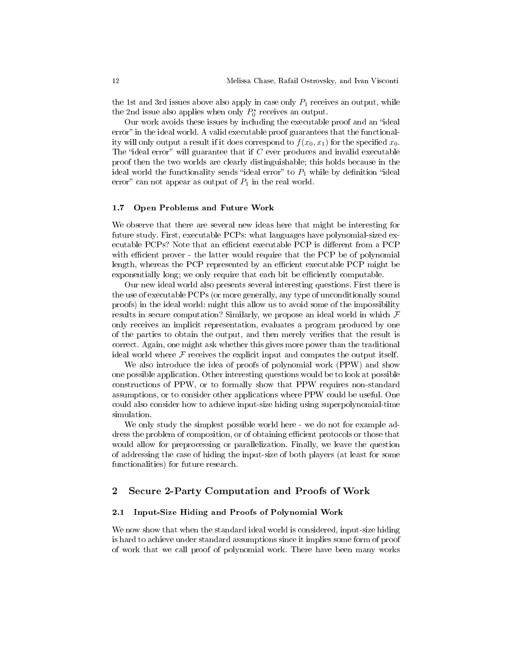the 1st and 3rd issues above also apply in case only  $P_1$  receives an output, while the 2nd issue also applies when only  $P_0^{\star}$  receives an output.

Our work avoids these issues by including the executable proof and an "ideal error" in the ideal world. A valid executable proof guarantees that the functionality will only output a result if it does correspond to  $f(x_0, x_1)$  for the specified  $x_0$ . The "ideal error" will guarantee that if  $C$  ever produces and invalid executable proof then the two worlds are clearly distinguishable; this holds because in the ideal world the functionality sends "ideal error" to  $P_1$  while by definition "ideal error" can not appear as output of  $P_1$  in the real world.

#### 1.7 Open Problems and Future Work

We observe that there are several new ideas here that might be interesting for future study. First, executable PCPs: what languages have polynomial-sized executable PCPs? Note that an efficient executable PCP is different from a PCP with efficient prover - the latter would require that the PCP be of polynomial length, whereas the PCP represented by an efficient executable PCP might be exponentially long; we only require that each bit be efficiently computable.

Our new ideal world also presents several interesting questions. First there is the use of executable PCPs (or more generally, any type of unconditionally sound proofs) in the ideal world: might this allow us to avoid some of the impossibility results in secure computation? Similarly, we propose an ideal world in which  $\mathcal F$ only receives an implicit representation, evaluates a program produced by one of the parties to obtain the output, and then merely verifies that the result is correct. Again, one might ask whether this gives more power than the traditional ideal world where  $\mathcal F$  receives the explicit input and computes the output itself.

We also introduce the idea of proofs of polynomial work (PPW) and show one possible application. Other interesting questions would be to look at possible constructions of PPW, or to formally show that PPW requires non-standard assumptions, or to consider other applications where PPW could be useful. One could also consider how to achieve input-size hiding using superpolynomial-time simulation.

We only study the simplest possible world here - we do not for example address the problem of composition, or of obtaining efficient protocols or those that would allow for preprocessing or parallelization. Finally, we leave the question of addressing the case of hiding the input-size of both players (at least for some functionalities) for future research.

## 2 Secure 2-Party Computation and Proofs of Work

#### <span id="page-11-0"></span>2.1 Input-Size Hiding and Proofs of Polynomial Work

We now show that when the standard ideal world is considered, input-size hiding is hard to achieve under standard assumptions since it implies some form of proof of work that we call proof of polynomial work. There have been many works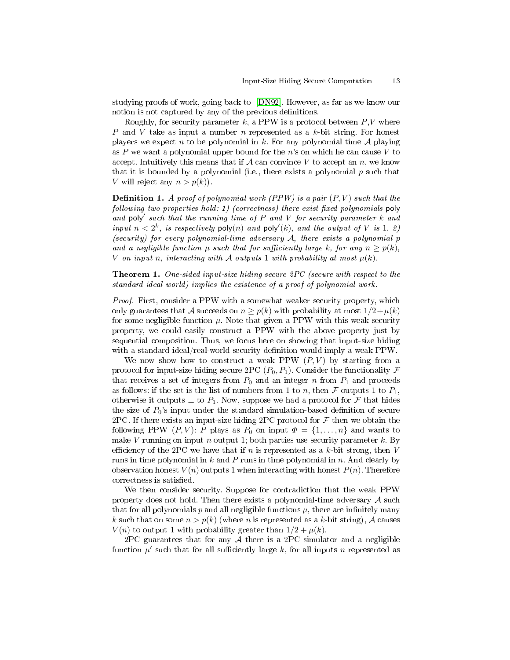studying proofs of work, going back to [\[DN92\]](#page-28-9). However, as far as we know our notion is not captured by any of the previous definitions.

Roughly, for security parameter k, a PPW is a protocol between  $P, V$  where P and V take as input a number n represented as a  $k$ -bit string. For honest players we expect n to be polynomial in k. For any polynomial time  $A$  playing as P we want a polynomial upper bound for the  $n$ 's on which he can cause V to accept. Intuitively this means that if  $A$  can convince V to accept an n, we know that it is bounded by a polynomial (i.e., there exists a polynomial  $p$  such that V will reject any  $n > p(k)$ .

**Definition 1.** A proof of polynomial work (PPW) is a pair  $(P, V)$  such that the following two properties hold: 1) (correctness) there exist fixed polynomials poly and poly' such that the running time of P and V for security parameter  $k$  and input  $n < 2^k$ , is respectively poly $(n)$  and poly $'(k)$ , and the output of V is 1. 2) (security) for every polynomial-time adversary  $A$ , there exists a polynomial p and a negligible function  $\mu$  such that for sufficiently large k, for any  $n \geq p(k)$ , V on input n, interacting with A outputs 1 with probability at most  $\mu(k)$ .

## Theorem 1. One-sided input-size hiding secure 2PC (secure with respect to the standard ideal world) implies the existence of a proof of polynomial work.

Proof. First, consider a PPW with a somewhat weaker security property, which only guarantees that A succeeds on  $n \geq p(k)$  with probability at most  $1/2 + \mu(k)$ for some negligible function  $\mu$ . Note that given a PPW with this weak security property, we could easily construct a PPW with the above property just by sequential composition. Thus, we focus here on showing that input-size hiding with a standard ideal/real-world security definition would imply a weak PPW.

We now show how to construct a weak PPW  $(P, V)$  by starting from a protocol for input-size hiding secure 2PC  $(P_0, P_1)$ . Consider the functionality  $\mathcal F$ that receives a set of integers from  $P_0$  and an integer n from  $P_1$  and proceeds as follows: if the set is the list of numbers from 1 to n, then  $\mathcal F$  outputs 1 to  $P_1$ , otherwise it outputs  $\perp$  to  $P_1$ . Now, suppose we had a protocol for F that hides the size of  $P_0$ 's input under the standard simulation-based definition of secure 2PC. If there exists an input-size hiding 2PC protocol for  $\mathcal F$  then we obtain the following PPW  $(P, V)$ : P plays as  $P_0$  on input  $\Phi = \{1, \ldots, n\}$  and wants to make V running on input  $n$  output 1; both parties use security parameter  $k$ . By efficiency of the 2PC we have that if n is represented as a  $k$ -bit strong, then V runs in time polynomial in k and P runs in time polynomial in n. And clearly by observation honest  $V(n)$  outputs 1 when interacting with honest  $P(n)$ . Therefore correctness is satisfied.

We then consider security. Suppose for contradiction that the weak PPW property does not hold. Then there exists a polynomial-time adversary  $A$  such that for all polynomials p and all negligible functions  $\mu$ , there are infinitely many k such that on some  $n > p(k)$  (where n is represented as a k-bit string), A causes  $V(n)$  to output 1 with probability greater than  $1/2 + \mu(k)$ .

2PC guarantees that for any  $A$  there is a 2PC simulator and a negligible function  $\mu'$  such that for all sufficiently large k, for all inputs n represented as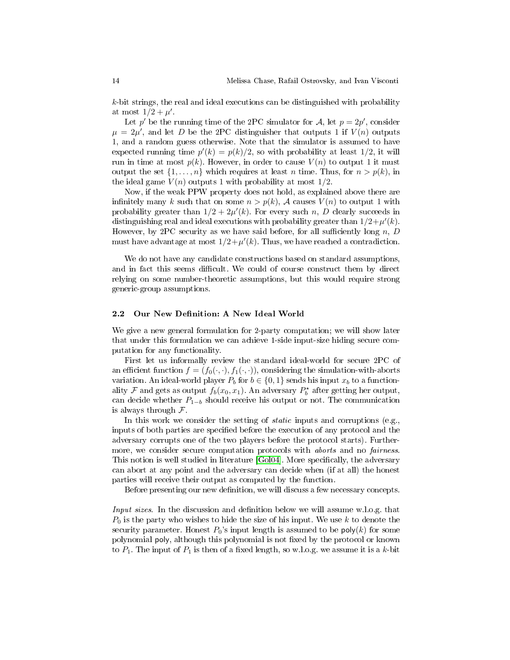$k$ -bit strings, the real and ideal executions can be distinguished with probability at most  $1/2 + \mu'$ .

Let p' be the running time of the 2PC simulator for A, let  $p = 2p'$ , consider  $\mu = 2\mu'$ , and let D be the 2PC distinguisher that outputs 1 if  $V(n)$  outputs 1, and a random guess otherwise. Note that the simulator is assumed to have expected running time  $p'(k) = p(k)/2$ , so with probability at least 1/2, it will run in time at most  $p(k)$ . However, in order to cause  $V(n)$  to output 1 it must output the set  $\{1, \ldots, n\}$  which requires at least n time. Thus, for  $n > p(k)$ , in the ideal game  $V(n)$  outputs 1 with probability at most  $1/2$ .

Now, if the weak PPW property does not hold, as explained above there are infinitely many k such that on some  $n > p(k)$ , A causes  $V(n)$  to output 1 with probability greater than  $1/2 + 2\mu'(k)$ . For every such n, D clearly succeeds in distinguishing real and ideal executions with probability greater than  $1/2+\mu'(k)$ . However, by 2PC security as we have said before, for all sufficiently long  $n, D$ must have advantage at most  $1/2 + \mu'(k)$ . Thus, we have reached a contradiction.

We do not have any candidate constructions based on standard assumptions. and in fact this seems difficult. We could of course construct them by direct relying on some number-theoretic assumptions, but this would require strong generic-group assumptions.

#### <span id="page-13-0"></span>2.2 Our New Definition: A New Ideal World

We give a new general formulation for 2-party computation; we will show later that under this formulation we can achieve 1-side input-size hiding secure computation for any functionality.

First let us informally review the standard ideal-world for secure 2PC of an efficient function  $f = (f_0(\cdot, \cdot), f_1(\cdot, \cdot))$ , considering the simulation-with-aborts variation. An ideal-world player  $P_b$  for  $b \in \{0,1\}$  sends his input  $x_b$  to a functionality  $\mathcal F$  and gets as output  $f_b(x_0, x_1)$ . An adversary  $P_b^{\star}$  after getting her output, can decide whether  $P_{1-b}$  should receive his output or not. The communication is always through  $\mathcal{F}$ .

In this work we consider the setting of *static* inputs and corruptions (e.g., inputs of both parties are specified before the execution of any protocol and the adversary corrupts one of the two players before the protocol starts). Furthermore, we consider secure computation protocols with *aborts* and no *fairness*. This notion is well studied in literature [\[Gol04\]](#page-28-10). More specifically, the adversary can abort at any point and the adversary can decide when (if at all) the honest parties will receive their output as computed by the function.

Before presenting our new definition, we will discuss a few necessary concepts.

Input sizes. In the discussion and denition below we will assume w.l.o.g. that  $P_0$  is the party who wishes to hide the size of his input. We use k to denote the security parameter. Honest  $P_0$ 's input length is assumed to be poly $(k)$  for some polynomial poly, although this polynomial is not fixed by the protocol or known to  $P_1$ . The input of  $P_1$  is then of a fixed length, so w.l.o.g. we assume it is a k-bit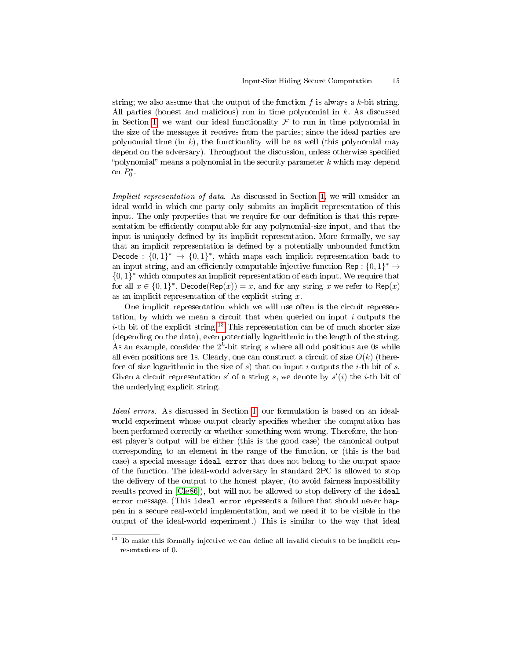string; we also assume that the output of the function  $f$  is always a  $k$ -bit string. All parties (honest and malicious) run in time polynomial in k. As discussed in Section [1,](#page-0-0) we want our ideal functionality  $\mathcal F$  to run in time polynomial in the size of the messages it receives from the parties; since the ideal parties are polynomial time (in  $k$ ), the functionality will be as well (this polynomial may depend on the adversary). Throughout the discussion, unless otherwise specified "polynomial" means a polynomial in the security parameter  $k$  which may depend on  $P_0^*$ .

Implicit representation of data. As discussed in Section [1,](#page-0-0) we will consider an ideal world in which one party only submits an implicit representation of this input. The only properties that we require for our definition is that this representation be efficiently computable for any polynomial-size input, and that the input is uniquely defined by its implicit representation. More formally, we say that an implicit representation is dened by a potentially unbounded function Decode :  $\{0,1\}^* \rightarrow \{0,1\}^*$ , which maps each implicit representation back to an input string, and an efficiently computable injective function Rep :  $\{0,1\}^* \to$ {0, 1} <sup>∗</sup> which computes an implicit representation of each input. We require that for all  $x \in \{0,1\}^*$ , Decode $(\mathsf{Rep}(x)) = x$ , and for any string x we refer to  $\mathsf{Rep}(x)$ as an implicit representation of the explicit string  $x$ .

One implicit representation which we will use often is the circuit representation, by which we mean a circuit that when queried on input  $i$  outputs the *i*-th bit of the explicit string.<sup>[13](#page-14-0)</sup> This representation can be of much shorter size (depending on the data), even potentially logarithmic in the length of the string. As an example, consider the  $2^k$ -bit string s where all odd positions are 0s while all even positions are 1s. Clearly, one can construct a circuit of size  $O(k)$  (therefore of size logarithmic in the size of  $s$ ) that on input i outputs the *i*-th bit of  $s$ . Given a circuit representation  $s'$  of a string s, we denote by  $s'(i)$  the *i*-th bit of the underlying explicit string.

Ideal errors. As discussed in Section [1,](#page-0-0) our formulation is based on an idealworld experiment whose output clearly specifies whether the computation has been performed correctly or whether something went wrong. Therefore, the honest player's output will be either (this is the good case) the canonical output corresponding to an element in the range of the function, or (this is the bad case) a special message ideal error that does not belong to the output space of the function. The ideal-world adversary in standard 2PC is allowed to stop the delivery of the output to the honest player, (to avoid fairness impossibility results proved in [\[Cle86\]](#page-28-11)), but will not be allowed to stop delivery of the ideal error message. (This ideal error represents a failure that should never happen in a secure real-world implementation, and we need it to be visible in the output of the ideal-world experiment.) This is similar to the way that ideal

<span id="page-14-0"></span> $13$  To make this formally injective we can define all invalid circuits to be implicit representations of 0.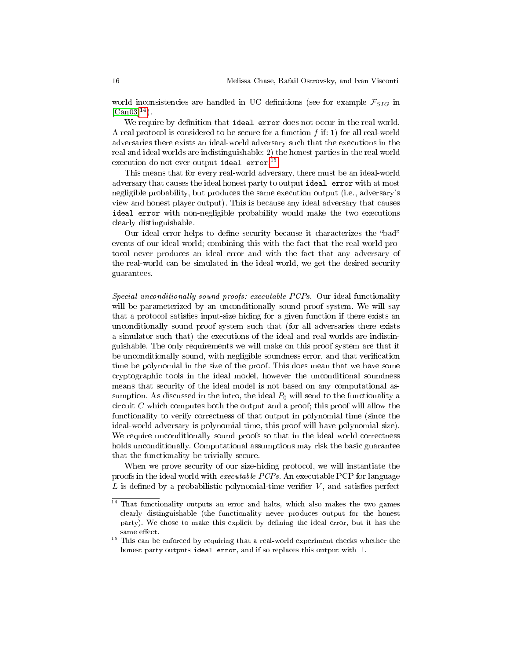world inconsistencies are handled in UC definitions (see for example  $\mathcal{F}_{SIG}$  in  $[Can03]^{14}$  $[Can03]^{14}$  $[Can03]^{14}$  $[Can03]^{14}$ .

We require by definition that ideal error does not occur in the real world. A real protocol is considered to be secure for a function  $f$  if: 1) for all real-world adversaries there exists an ideal-world adversary such that the executions in the real and ideal worlds are indistinguishable: 2) the honest parties in the real world execution do not ever output ideal error.<sup>[15](#page-15-1)</sup>

This means that for every real-world adversary, there must be an ideal-world adversary that causes the ideal honest party to output ideal error with at most negligible probability, but produces the same execution output (i.e., adversary's view and honest player output). This is because any ideal adversary that causes ideal error with non-negligible probability would make the two executions clearly distinguishable.

Our ideal error helps to define security because it characterizes the "bad" events of our ideal world; combining this with the fact that the real-world protocol never produces an ideal error and with the fact that any adversary of the real-world can be simulated in the ideal world, we get the desired security guarantees.

Special unconditionally sound proofs: executable PCPs. Our ideal functionality will be parameterized by an unconditionally sound proof system. We will say that a protocol satisfies input-size hiding for a given function if there exists an unconditionally sound proof system such that (for all adversaries there exists a simulator such that) the executions of the ideal and real worlds are indistinguishable. The only requirements we will make on this proof system are that it be unconditionally sound, with negligible soundness error, and that verification time be polynomial in the size of the proof. This does mean that we have some cryptographic tools in the ideal model, however the unconditional soundness means that security of the ideal model is not based on any computational assumption. As discussed in the intro, the ideal  $P_0$  will send to the functionality a circuit  $C$  which computes both the output and a proof; this proof will allow the functionality to verify correctness of that output in polynomial time (since the ideal-world adversary is polynomial time, this proof will have polynomial size). We require unconditionally sound proofs so that in the ideal world correctness holds unconditionally. Computational assumptions may risk the basic guarantee that the functionality be trivially secure.

When we prove security of our size-hiding protocol, we will instantiate the proofs in the ideal world with executable PCPs. An executable PCP for language  $L$  is defined by a probabilistic polynomial-time verifier  $V$ , and satisfies perfect

<span id="page-15-0"></span><sup>&</sup>lt;sup>14</sup> That functionality outputs an error and halts, which also makes the two games clearly distinguishable (the functionality never produces output for the honest party). We chose to make this explicit by dening the ideal error, but it has the same effect.

<span id="page-15-1"></span> $^{15}$  This can be enforced by requiring that a real-world experiment checks whether the honest party outputs ideal error, and if so replaces this output with  $\bot$ .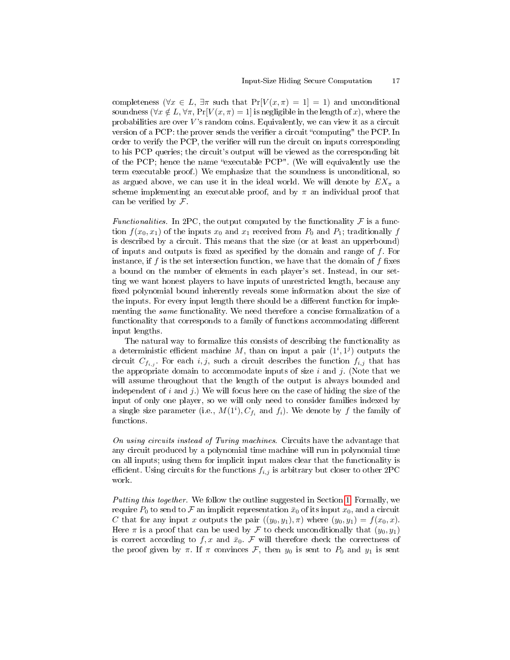completeness ( $\forall x \in L$ ,  $\exists \pi$  such that  $Pr[V(x,\pi) = 1] = 1$ ) and unconditional soundness ( $\forall x \notin L$ ,  $\forall \pi$ ,  $Pr[V(x, \pi) = 1]$  is negligible in the length of x), where the probabilities are over  $V$ 's random coins. Equivalently, we can view it as a circuit version of a PCP: the prover sends the verifier a circuit "computing" the PCP. In order to verify the PCP, the verifier will run the circuit on inputs corresponding to his PCP queries; the circuit's output will be viewed as the corresponding bit of the PCP; hence the name "executable PCP". (We will equivalently use the term executable proof.) We emphasize that the soundness is unconditional, so as argued above, we can use it in the ideal world. We will denote by  $EX_{\pi}$  a scheme implementing an executable proof, and by  $\pi$  an individual proof that can be verified by  $\mathcal F$ .

Functionalities. In 2PC, the output computed by the functionality  $\mathcal F$  is a function  $f(x_0, x_1)$  of the inputs  $x_0$  and  $x_1$  received from  $P_0$  and  $P_1$ ; traditionally f is described by a circuit. This means that the size (or at least an upperbound) of inputs and outputs is fixed as specified by the domain and range of  $f$ . For instance, if f is the set intersection function, we have that the domain of f fixes a bound on the number of elements in each player's set. Instead, in our setting we want honest players to have inputs of unrestricted length, because any fixed polynomial bound inherently reveals some information about the size of the inputs. For every input length there should be a different function for implementing the same functionality. We need therefore a concise formalization of a functionality that corresponds to a family of functions accommodating different input lengths.

The natural way to formalize this consists of describing the functionality as a deterministic efficient machine M, than on input a pair  $(1^i, 1^j)$  outputs the circuit  $C_{f_{i,j}}$ . For each i, j, such a circuit describes the function  $f_{i,j}$  that has the appropriate domain to accommodate inputs of size  $i$  and  $j$ . (Note that we will assume throughout that the length of the output is always bounded and independent of i and j.) We will focus here on the case of hiding the size of the input of only one player, so we will only need to consider families indexed by a single size parameter (i.e.,  $M(1^i)$ ,  $C_{f_i}$  and  $f_i$ ). We denote by f the family of functions.

On using circuits instead of Turing machines. Circuits have the advantage that any circuit produced by a polynomial time machine will run in polynomial time on all inputs; using them for implicit input makes clear that the functionality is efficient. Using circuits for the functions  $f_{i,j}$  is arbitrary but closer to other 2PC work.

Putting this together. We follow the outline suggested in Section [1.](#page-0-0) Formally, we require  $P_0$  to send to  $\mathcal F$  an implicit representation  $\bar{x}_0$  of its input  $x_0$ , and a circuit C that for any input x outputs the pair  $((y_0, y_1), \pi)$  where  $(y_0, y_1) = f(x_0, x)$ . Here  $\pi$  is a proof that can be used by F to check unconditionally that  $(y_0, y_1)$ is correct according to  $f, x$  and  $\bar{x}_0$ . F will therefore check the correctness of the proof given by  $\pi$ . If  $\pi$  convinces  $\mathcal{F}$ , then  $y_0$  is sent to  $P_0$  and  $y_1$  is sent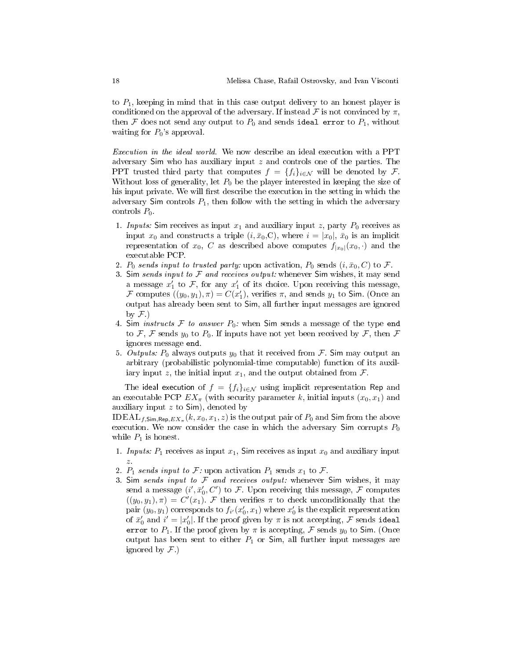to  $P_1$ , keeping in mind that in this case output delivery to an honest player is conditioned on the approval of the adversary. If instead  $\mathcal F$  is not convinced by  $\pi$ , then F does not send any output to  $P_0$  and sends ideal error to  $P_1$ , without waiting for  $P_0$ 's approval.

Execution in the ideal world. We now describe an ideal execution with a PPT adversary Sim who has auxiliary input z and controls one of the parties. The PPT trusted third party that computes  $f = \{f_i\}_{i \in \mathcal{N}}$  will be denoted by F. Without loss of generality, let  $P_0$  be the player interested in keeping the size of his input private. We will first describe the execution in the setting in which the adversary  $Sim$  controls  $P_1$ , then follow with the setting in which the adversary controls  $P_0$ .

- 1. Inputs: Sim receives as input  $x_1$  and auxiliary input z, party  $P_0$  receives as input  $x_0$  and constructs a triple  $(i, \bar{x}_0, C)$ , where  $i = |x_0|$ ,  $\bar{x}_0$  is an implicit representation of  $x_0$ , C as described above computes  $f_{|x_0|}(x_0, \cdot)$  and the executable PCP.
- 2.  $P_0$  sends input to trusted party: upon activation,  $P_0$  sends  $(i, \bar{x}_0, C)$  to  $\mathcal{F}$ .
- 3. Sim sends input to  $\mathcal F$  and receives output: whenever Sim wishes, it may send a message  $x'_1$  to  $\mathcal{F}$ , for any  $x'_1$  of its choice. Upon receiving this message, F computes  $((y_0, y_1), \pi) = C(x_1'),$  verifies  $\pi$ , and sends  $y_1$  to Sim. (Once an output has already been sent to Sim, all further input messages are ignored by  $\mathcal{F}$ .)
- 4. Sim instructs  $F$  to answer  $P_0$ : when Sim sends a message of the type end to F, F sends  $y_0$  to  $P_0$ . If inputs have not yet been received by F, then F ignores message end.
- 5. Outputs:  $P_0$  always outputs  $y_0$  that it received from  $\mathcal{F}$ . Sim may output an arbitrary (probabilistic polynomial-time computable) function of its auxiliary input z, the initial input  $x_1$ , and the output obtained from  $\mathcal{F}$ .

The ideal execution of  $f = \{f_i\}_{i\in\mathcal{N}}$  using implicit representation Rep and an executable PCP  $EX_{\pi}$  (with security parameter k, initial inputs  $(x_0, x_1)$  and auxiliary input  $z$  to Sim), denoted by

 $\text{IDEAL}_{f, \textsf{Sim}, \textsf{Rep}, EX_\pi}(k, x_0, x_1, z)$  is the output pair of  $P_0$  and  $\textsf{Sim}\ \text{from the above}$ execution. We now consider the case in which the adversary Sim corrupts  $P_0$ while  $P_1$  is honest.

- 1. Inputs:  $P_1$  receives as input  $x_1$ , Sim receives as input  $x_0$  and auxiliary input z.
- 2.  $P_1$  sends input to F: upon activation  $P_1$  sends  $x_1$  to F.
- 3. Sim sends input to  $F$  and receives output: whenever Sim wishes, it may send a message  $(i', \bar{x}'_0, C')$  to  $\mathcal{F}$ . Upon receiving this message,  $\mathcal{F}$  computes  $((y_0, y_1), \pi) = C'(x_1)$ . F then verifies  $\pi$  to check unconditionally that the pair  $(y_0, y_1)$  corresponds to  $f_{i'}(x'_0, x_1)$  where  $x'_0$  is the explicit representation of  $\bar{x}'_0$  and  $i' = |x'_0|$ . If the proof given by  $\pi$  is not accepting,  $\mathcal F$  sends ideal error to  $P_1$ . If the proof given by  $\pi$  is accepting,  $\mathcal F$  sends  $y_0$  to Sim. (Once output has been sent to either  $P_1$  or Sim, all further input messages are ignored by  $\mathcal{F}$ )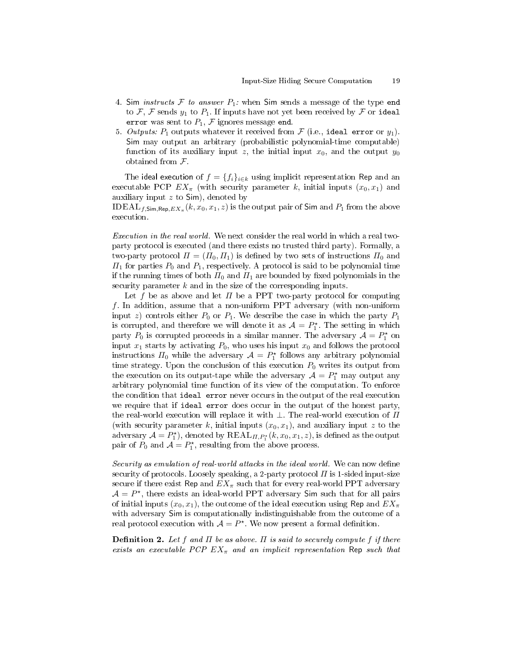- 4. Sim *instructs* F to answer  $P_1$ : when Sim sends a message of the type end to F, F sends  $y_1$  to  $P_1$ . If inputs have not yet been received by F or ideal error was sent to  $P_1$ ,  $\mathcal F$  ignores message end.
- 5. Outputs:  $P_1$  outputs whatever it received from  $\mathcal F$  (i.e., ideal error or  $y_1$ ). Sim may output an arbitrary (probabilistic polynomial-time computable) function of its auxiliary input z, the initial input  $x_0$ , and the output  $y_0$ obtained from F.

The ideal execution of  $f = \{f_i\}_{i \in k}$  using implicit representation Rep and an executable PCP  $EX_{\pi}$  (with security parameter k, initial inputs  $(x_0, x_1)$  and auxiliary input  $z$  to  $Sim$ ), denoted by

 $\text{IDEAL}_{f, \textsf{Sim}, \textsf{Rep}, EX_\pi}(k, x_0, x_1, z)$  is the output pair of  $\textsf{Sim}$  and  $P_1$  from the above execution.

Execution in the real world. We next consider the real world in which a real twoparty protocol is executed (and there exists no trusted third party). Formally, a two-party protocol  $\Pi = (H_0, H_1)$  is defined by two sets of instructions  $H_0$  and  $\Pi_1$  for parties  $P_0$  and  $P_1$ , respectively. A protocol is said to be polynomial time if the running times of both  $\Pi_0$  and  $\Pi_1$  are bounded by fixed polynomials in the security parameter  $k$  and in the size of the corresponding inputs.

Let f be as above and let  $\Pi$  be a PPT two-party protocol for computing f. In addition, assume that a non-uniform PPT adversary (with non-uniform input z) controls either  $P_0$  or  $P_1$ . We describe the case in which the party  $P_1$ is corrupted, and therefore we will denote it as  $\mathcal{A} = P_1^{\star}$ . The setting in which party  $P_0$  is corrupted proceeds in a similar manner. The adversary  $\mathcal{A} = P_1^{\star}$  on input  $x_1$  starts by activating  $P_0$ , who uses his input  $x_0$  and follows the protocol instructions  $\Pi_0$  while the adversary  $\mathcal{A} = P_1^{\star}$  follows any arbitrary polynomial time strategy. Upon the conclusion of this execution  $P_0$  writes its output from the execution on its output-tape while the adversary  $\mathcal{A} = P_1^{\star}$  may output any arbitrary polynomial time function of its view of the computation. To enforce the condition that ideal error never occurs in the output of the real execution we require that if ideal error does occur in the output of the honest party, the real-world execution will replace it with  $\perp$ . The real-world execution of  $\Pi$ (with security parameter k, initial inputs  $(x_0, x_1)$ , and auxiliary input z to the adversary  $\mathcal{A} = P_1^{\star}$ ), denoted by  $\text{REAL}_{\Pi, P_1^{\star}}(k, x_0, x_1, z)$ , is defined as the output pair of  $P_0$  and  $\mathcal{A} = P_1^*$ , resulting from the above process.

Security as emulation of real-world attacks in the ideal world. We can now define security of protocols. Loosely speaking, a 2-party protocol  $\Pi$  is 1-sided input-size secure if there exist Rep and  $EX_{\pi}$  such that for every real-world PPT adversary  $\mathcal{A} = P^*$ , there exists an ideal-world PPT adversary Sim such that for all pairs of initial inputs  $(x_0, x_1)$ , the outcome of the ideal execution using Rep and  $EX_{\pi}$ with adversary Sim is computationally indistinguishable from the outcome of a real protocol execution with  $A = P^*$ . We now present a formal definition.

<span id="page-18-0"></span>**Definition 2.** Let f and  $\Pi$  be as above.  $\Pi$  is said to securely compute f if there exists an executable PCP  $EX_{\pi}$  and an implicit representation Rep such that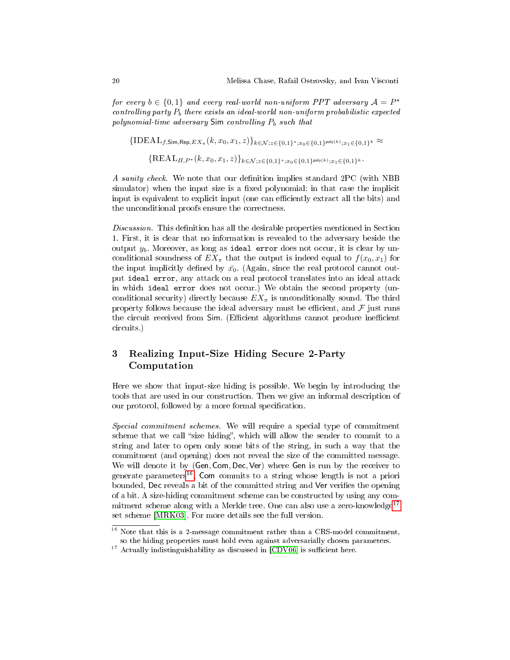for every  $b \in \{0,1\}$  and every real-world non-uniform PPT adversary  $\mathcal{A} = P^\star$ controlling party  $P_b$  there exists an ideal-world non-uniform probabilistic expected polynomial-time adversary  $Sim$  controlling  $P_b$  such that

 $\{ {\rm IDEAL}_{f, \textsf{Sim}, \textsf{Rep}, EX_\pi}(k, x_0, x_1, z) \}_{k \in \mathcal{N}; z \in \{0, 1\}^*; x_0 \in \{0, 1\}^{\textsf{poly}(k)}; x_1 \in \{0, 1\}^k} \approx$  ${REAL_{\Pi,P^{\star}}(k,x_0,x_1,z)}_{k\in\mathcal{N}:z\in\{0,1\}^{\ast};x_0\in\{0,1\}^{\text{poly}(k)};x_1\in\{0,1\}^k}.$ 

A sanity check. We note that our definition implies standard  $2PC$  (with NBB simulator) when the input size is a fixed polynomial: in that case the implicit input is equivalent to explicit input (one can efficiently extract all the bits) and the unconditional proofs ensure the correctness.

Discussion. This definition has all the desirable properties mentioned in Section 1. First, it is clear that no information is revealed to the adversary beside the output  $y<sub>b</sub>$ . Moreover, as long as ideal error does not occur, it is clear by unconditional soundness of  $EX_{\pi}$  that the output is indeed equal to  $f(x_0, x_1)$  for the input implicitly defined by  $\bar{x_0}$ . (Again, since the real protocol cannot output ideal error, any attack on a real protocol translates into an ideal attack in which ideal error does not occur.) We obtain the second property (unconditional security) directly because  $EX_{\pi}$  is unconditionally sound. The third property follows because the ideal adversary must be efficient, and  $\mathcal F$  just runs the circuit received from Sim. (Efficient algorithms cannot produce inefficient circuits.)

## <span id="page-19-0"></span>3 Realizing Input-Size Hiding Secure 2-Party Computation

Here we show that input-size hiding is possible. We begin by introducing the tools that are used in our construction. Then we give an informal description of our protocol, followed by a more formal specification.

Special commitment schemes. We will require a special type of commitment scheme that we call "size hiding", which will allow the sender to commit to a string and later to open only some bits of the string, in such a way that the commitment (and opening) does not reveal the size of the committed message. We will denote it by (Gen, Com, Dec, Ver) where Gen is run by the receiver to generate parameters<sup>[16](#page-19-1)</sup>, Com commits to a string whose length is not a priori bounded, Dec reveals a bit of the committed string and Ver verifies the opening of a bit. A size-hiding commitment scheme can be constructed by using any com-mitment scheme along with a Merkle tree. One can also use a zero-knowledge<sup>[17](#page-19-2)</sup> set scheme [\[MRK03\]](#page-28-5). For more details see the full version.

<span id="page-19-1"></span> $^{16}$  Note that this is a 2-message commitment rather than a CRS-model commitment, so the hiding properties must hold even against adversarially chosen parameters.

<span id="page-19-2"></span> $17$  Actually indistinguishability as discussed in [\[CDV06\]](#page-27-6) is sufficient here.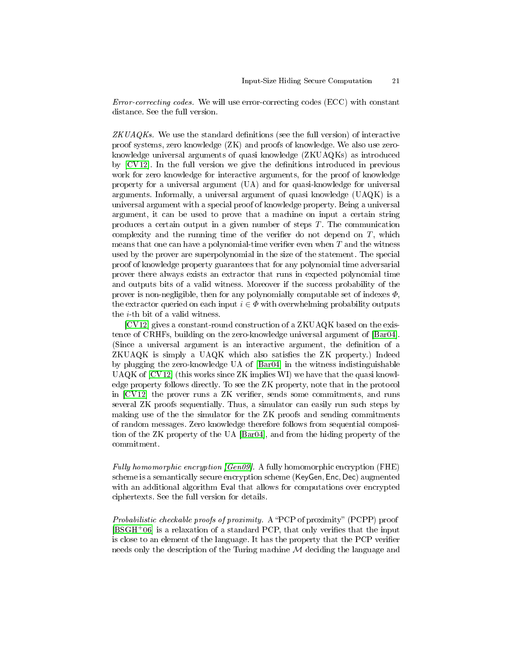Error-correcting codes. We will use error-correcting codes (ECC) with constant distance. See the full version.

 $ZKUAGKs$ . We use the standard definitions (see the full version) of interactive proof systems, zero knowledge (ZK) and proofs of knowledge. We also use zeroknowledge universal arguments of quasi knowledge (ZKUAQKs) as introduced by [\[CV12\]](#page-28-2). In the full version we give the denitions introduced in previous work for zero knowledge for interactive arguments, for the proof of knowledge property for a universal argument (UA) and for quasi-knowledge for universal arguments. Informally, a universal argument of quasi knowledge (UAQK) is a universal argument with a special proof of knowledge property. Being a universal argument, it can be used to prove that a machine on input a certain string produces a certain output in a given number of steps  $T$ . The communication complexity and the running time of the verifier do not depend on  $T$ , which means that one can have a polynomial-time verifier even when  $T$  and the witness used by the prover are superpolynomial in the size of the statement. The special proof of knowledge property guarantees that for any polynomial time adversarial prover there always exists an extractor that runs in expected polynomial time and outputs bits of a valid witness. Moreover if the success probability of the prover is non-negligible, then for any polynomially computable set of indexes  $\Phi$ , the extractor queried on each input  $i \in \Phi$  with overwhelming probability outputs the i-th bit of a valid witness.

[\[CV12\]](#page-28-2) gives a constant-round construction of a ZKUAQK based on the existence of CRHFs, building on the zero-knowledge universal argument of [\[Bar04\]](#page-27-7). (Since a universal argument is an interactive argument, the denition of a  $ZKUAQK$  is simply a  $UAQK$  which also satisfies the  $ZK$  property.) Indeed by plugging the zero-knowledge UA of [\[Bar04\]](#page-27-7) in the witness indistinguishable UAQK of [\[CV12\]](#page-28-2) (this works since ZK implies WI) we have that the quasi knowledge property follows directly. To see the ZK property, note that in the protocol in [\[CV12\]](#page-28-2) the prover runs a ZK verifier, sends some commitments, and runs several ZK proofs sequentially. Thus, a simulator can easily run such steps by making use of the the simulator for the ZK proofs and sending commitments of random messages. Zero knowledge therefore follows from sequential composition of the ZK property of the UA [\[Bar04\]](#page-27-7), and from the hiding property of the commitment.

Fully homomorphic encryption [\[Gen09\]](#page-28-12). A fully homomorphic encryption (FHE) scheme is a semantically secure encryption scheme (KeyGen, Enc, Dec) augmented with an additional algorithm Eval that allows for computations over encrypted ciphertexts. See the full version for details.

Probabilistic checkable proofs of proximity. A "PCP of proximity" (PCPP) proof  $[BSGH<sup>+</sup>06]$  $[BSGH<sup>+</sup>06]$  is a relaxation of a standard PCP, that only verifies that the input is close to an element of the language. It has the property that the PCP verifier needs only the description of the Turing machine  $\mathcal M$  deciding the language and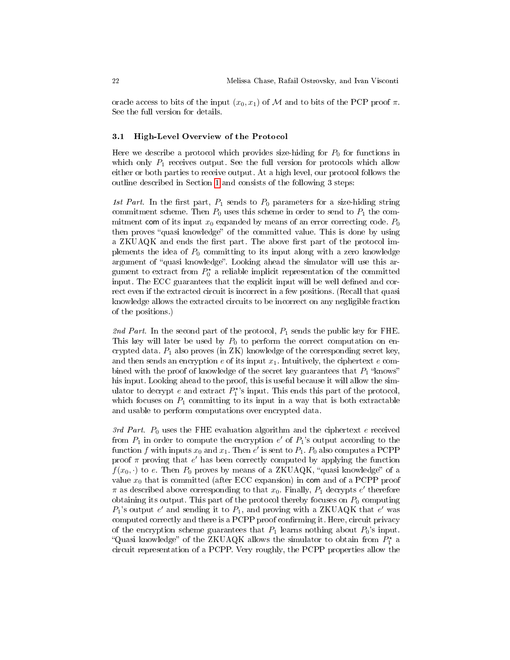oracle access to bits of the input  $(x_0, x_1)$  of M and to bits of the PCP proof  $\pi$ . See the full version for details.

### 3.1 High-Level Overview of the Protocol

Here we describe a protocol which provides size-hiding for  $P_0$  for functions in which only  $P_1$  receives output. See the full version for protocols which allow either or both parties to receive output. At a high level, our protocol follows the outline described in Section [1](#page-0-0) and consists of the following 3 steps:

1st Part. In the first part,  $P_1$  sends to  $P_0$  parameters for a size-hiding string commitment scheme. Then  $P_0$  uses this scheme in order to send to  $P_1$  the commitment com of its input  $x_0$  expanded by means of an error correcting code.  $P_0$ then proves "quasi knowledge" of the committed value. This is done by using a ZKUAQK and ends the first part. The above first part of the protocol implements the idea of  $P_0$  committing to its input along with a zero knowledge argument of "quasi knowledge". Looking ahead the simulator will use this argument to extract from  $P_0^{\star}$  a reliable implicit representation of the committed input. The ECC guarantees that the explicit input will be well defined and correct even if the extracted circuit is incorrect in a few positions. (Recall that quasi knowledge allows the extracted circuits to be incorrect on any negligible fraction of the positions.)

2nd Part. In the second part of the protocol,  $P_1$  sends the public key for FHE. This key will later be used by  $P_0$  to perform the correct computation on encrypted data.  $P_1$  also proves (in ZK) knowledge of the corresponding secret key, and then sends an encryption  $e$  of its input  $x_1$ . Intuitively, the ciphertext  $e$  combined with the proof of knowledge of the secret key guarantees that  $P_1$  "knows" his input. Looking ahead to the proof, this is useful because it will allow the simulator to decrypt  $e$  and extract  $P_1^{\star}$ 's input. This ends this part of the protocol, which focuses on  $P_1$  committing to its input in a way that is both extractable and usable to perform computations over encrypted data.

3rd Part.  $P_0$  uses the FHE evaluation algorithm and the ciphertext e received from  $P_1$  in order to compute the encryption  $e'$  of  $P_1$ 's output according to the function  $f$  with inputs  $x_0$  and  $x_1$ . Then  $e'$  is sent to  $P_1$ .  $P_0$  also computes a PCPP proof  $\pi$  proving that  $e'$  has been correctly computed by applying the function  $f(x_0, \cdot)$  to e. Then  $P_0$  proves by means of a ZKUAQK, "quasi knowledge" of a value  $x_0$  that is committed (after ECC expansion) in com and of a PCPP proof  $\pi$  as described above corresponding to that  $x_0$ . Finally,  $P_1$  decrypts  $e'$  therefore obtaining its output. This part of the protocol thereby focuses on  $P_0$  computing  $P_1$ 's output e' and sending it to  $P_1$ , and proving with a ZKUAQK that e' was computed correctly and there is a PCPP proof confirming it. Here, circuit privacy of the encryption scheme guarantees that  $P_1$  learns nothing about  $P_0$ 's input. "Quasi knowledge" of the ZKUAQK allows the simulator to obtain from  $P_1^{\star}$  a circuit representation of a PCPP. Very roughly, the PCPP properties allow the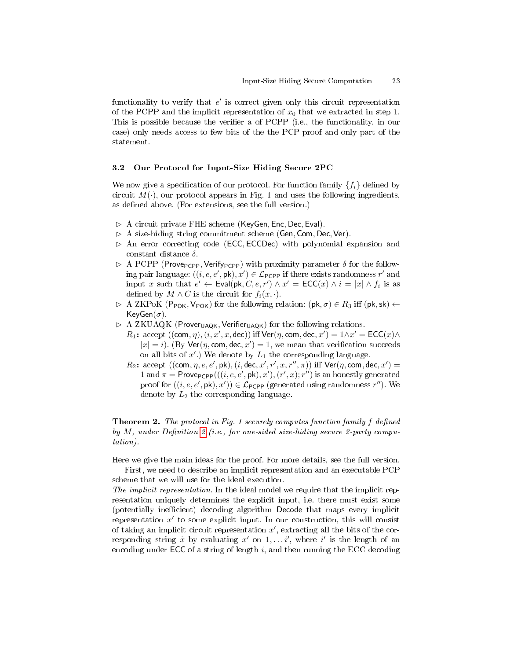functionality to verify that  $e'$  is correct given only this circuit representation of the PCPP and the implicit representation of  $x_0$  that we extracted in step 1. This is possible because the verifier a of PCPP (i.e., the functionality, in our case) only needs access to few bits of the the PCP proof and only part of the statement.

#### 3.2 Our Protocol for Input-Size Hiding Secure 2PC

We now give a specification of our protocol. For function family  $\{f_i\}$  defined by circuit  $M(\cdot)$ , our protocol appears in Fig. 1 and uses the following ingredients, as defined above. (For extensions, see the full version.)

- $\triangleright$  A circuit private FHE scheme (KeyGen, Enc, Dec, Eval).
- $\triangleright$  A size-hiding string commitment scheme (Gen, Com, Dec, Ver).
- $\triangleright$  An error correcting code (ECC, ECCDec) with polynomial expansion and constant distance  $\delta$ .
- $\triangleright$  A PCPP (Prove<sub>PCPP</sub>, Verify<sub>PCPP</sub>) with proximity parameter  $\delta$  for the following pair language:  $((i, e, e', \mathsf{pk}), x') \in \mathcal{L}_{\mathsf{PCPP}}$  if there exists randomness  $r'$  and input x such that  $e' \leftarrow \text{Eval}(\text{pk}, C, e, r') \wedge x' = \text{ECC}(x) \wedge i = |x| \wedge f_i$  is as defined by  $M \wedge C$  is the circuit for  $f_i(x, \cdot)$ .
- $\triangleright$  A ZKPoK (P<sub>POK</sub>, V<sub>POK</sub>) for the following relation: (pk,  $\sigma$ )  $\in$  R<sub>3</sub> iff (pk, sk)  $\leftarrow$  $KeyGen(\sigma)$ .
- $\triangleright$  A ZKUAQK (Prover<sub>UAQK</sub>, Verifier<sub>UAQK</sub>) for the following relations.
	- $R_1$ : accept  $((\text{com}, \eta), (i, x', x, \text{dec}))$  iff  $\text{Ver}(\eta, \text{com}, \text{dec}, x') = 1 \land x' = \textsf{ECC}(x) \land$  $|x| = i$ . (By Ver( $\eta$ , com, dec,  $x'$ ) = 1, we mean that verification succeeds on all bits of  $x'$ .) We denote by  $L_1$  the corresponding language.
	- $R_2$ : accept  $((\text{com}, \eta, e, e', \textsf{pk}), (i, \textsf{dec}, x', r', x, r'', \pi))$  iff  $\mathsf{Ver}(\eta, \textsf{com}, \textsf{dec}, x') =$ 1 and  $\pi = \mathsf{Prove}_{\mathsf{PCPP}}(((i, e, e', \mathsf{pk}), x'), (r', x); r'')$  is an honestly generated proof for  $((i, e, e', \mathsf{pk}), x') \in \mathcal{L}_{\mathsf{PCPP}}$  (generated using randomness  $r'$ ). We denote by  $L_2$  the corresponding language.

<span id="page-22-0"></span>**Theorem 2.** The protocol in Fig. 1 securely computes function family  $f$  defined by M, under Definition [2](#page-18-0) (i.e., for one-sided size-hiding secure 2-party computation).

Here we give the main ideas for the proof. For more details, see the full version. First, we need to describe an implicit representation and an executable PCP scheme that we will use for the ideal execution.

The implicit representation. In the ideal model we require that the implicit representation uniquely determines the explicit input, i.e. there must exist some (potentially inefficient) decoding algorithm Decode that maps every implicit representation  $x'$  to some explicit input. In our construction, this will consist of taking an implicit circuit representation  $x'$ , extracting all the bits of the corresponding string  $\tilde{x}$  by evaluating  $x'$  on  $1, \ldots i'$ , where i' is the length of an encoding under  $\mathsf{ECC}$  of a string of length i, and then running the  $\mathrm{ECC}$  decoding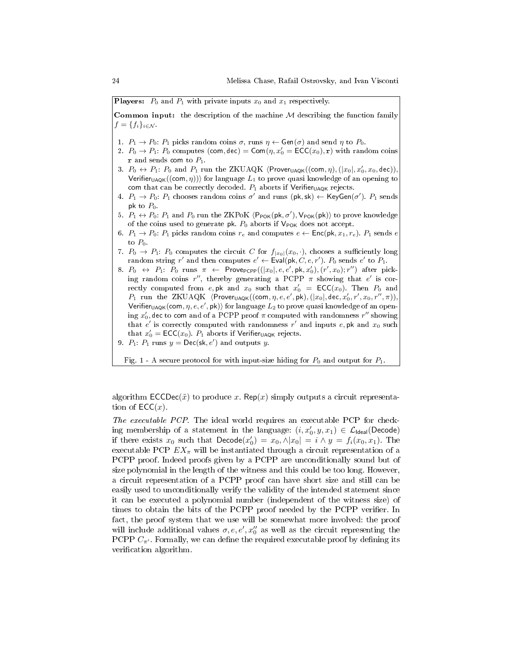**Players:**  $P_0$  and  $P_1$  with private inputs  $x_0$  and  $x_1$  respectively.

**Common input:** the description of the machine  $M$  describing the function family  $f = \{f_i\}_{i \in \mathcal{N}}$ .

- 1.  $P_1 \rightarrow P_0$ :  $P_1$  picks random coins  $\sigma$ , runs  $\eta \leftarrow$  Gen( $\sigma$ ) and send  $\eta$  to  $P_0$ .
- 2.  $P_0 \to P_1$ :  $P_0$  computes (com, dec) = Com( $\eta$ ,  $x'_0$  = ECC( $x_0$ ), r) with random coins  $r$  and sends com to  $P_1$ .
- 3.  $P_0 \leftrightarrow P_1$ :  $P_0$  and  $P_1$  run the ZKUAQK  $\langle$ Prover<sub>UAQK</sub>((com,  $\eta$ ),( $|x_0|, x'_0, x_0,$  dec)), Verifier<sub>UAQK</sub>((com,  $\eta$ ))) for language  $L_1$  to prove quasi knowledge of an opening to com that can be correctly decoded.  $P_1$  aborts if Verifier<sub>UAQK</sub> rejects.
- 4.  $P_1 \rightarrow P_0$ :  $P_1$  chooses random coins  $\sigma'$  and runs (pk, sk)  $\leftarrow$  KeyGen( $\sigma'$ ).  $P_1$  sends pk to  $P_0$ .
- 5.  $P_1 \leftrightarrow P_0$ :  $P_1$  and  $P_0$  run the ZKPoK  $\langle P_{\text{POK}}(\mathsf{pk}, \sigma')$ ,  $\mathsf{V}_{\text{POK}}(\mathsf{pk})\rangle$  to prove knowledge of the coins used to generate pk.  $P_0$  aborts if  $V_{POK}$  does not accept.
- 6.  $P_1 \rightarrow P_0$ :  $P_1$  picks random coins  $r_e$  and computes  $e \leftarrow \text{Enc}(\text{pk}, x_1, r_e)$ .  $P_1$  sends e to  $P_0$ .
- 7.  $P_0 \rightarrow P_1$ :  $P_0$  computes the circuit C for  $f_{|x_0|}(x_0, \cdot)$ , chooses a sufficiently long random string r' and then computes  $e' \leftarrow \text{Eval}(\text{pk}, C, e, r')$ .  $P_0$  sends  $e'$  to  $P_1$ .
- 8.  $P_0 \leftrightarrow P_1$ :  $P_0$  runs  $\pi \leftarrow \text{Prove}_{\text{PCPP}}((|x_0|, e, e', \text{pk}, x'_0), (r', x_0); r'')$  after picking random coins r'', thereby generating a PCPP  $\pi$  showing that e' is correctly computed from  $e, \mathsf{pk}$  and  $x_0$  such that  $x'_0 = \mathsf{ECC}(x_0)$ . Then  $P_0$  and P<sub>1</sub> run the ZKUAQK  $\langle$ Prover<sub>UAQK</sub>((com,  $\eta$ , e, e', pk), (|x<sub>0</sub>|, dec, x'<sub>0</sub>, r', x<sub>0</sub>, r'',  $\pi$ )), Verifier<sub>UAQK</sub>(com,  $\eta, e, e', \mathsf{pk})$ ) for language  $L_2$  to prove quasi knowledge of an opening  $x'_0$ , dec to com and of a PCPP proof  $\pi$  computed with randomness  $r''$  showing that  $e'$  is correctly computed with randomness  $r'$  and inputs  $e,$  pk and  $x_0$  such that  $x'_0 = \mathsf{ECC}(x_0)$ .  $P_1$  aborts if Verifier<sub>UAQK</sub> rejects.
- 9.  $P_1$ :  $P_1$  runs  $y = \mathsf{Dec}(\mathsf{sk}, e')$  and outputs  $y$ .

Fig. 1 - A secure protocol for with input-size hiding for  $P_0$  and output for  $P_1$ .

algorithm  $\mathsf{ECCDec}(\tilde{x})$  to produce x.  $\mathsf{Rep}(x)$  simply outputs a circuit representation of  $\mathsf{ECC}(x)$ .

The executable PCP. The ideal world requires an executable PCP for checking membership of a statement in the language:  $(i, x'_0, y, x_1) \in \mathcal{L}_{\mathsf{Ideal}}(\mathsf{Decode})$ if there exists  $x_0$  such that  $\mathsf{Decode}(x'_0) = x_0, \wedge |x_0| = i \wedge y = f_i(x_0, x_1)$ . The executable PCP  $EX_{\pi}$  will be instantiated through a circuit representation of a PCPP proof. Indeed proofs given by a PCPP are unconditionally sound but of size polynomial in the length of the witness and this could be too long. However, a circuit representation of a PCPP proof can have short size and still can be easily used to unconditionally verify the validity of the intended statement since it can be executed a polynomial number (independent of the witness size) of times to obtain the bits of the PCPP proof needed by the PCPP verifier. In fact, the proof system that we use will be somewhat more involved: the proof will include additional values  $\sigma, e, e', x_0''$  as well as the circuit representing the PCPP  $C_{\pi}$ . Formally, we can define the required executable proof by defining its verification algorithm.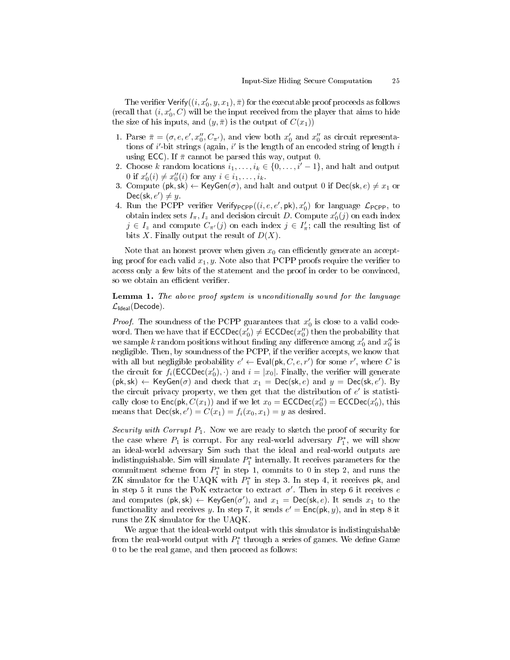The verifier  $\mathsf{Verify}((i,x_0',y,x_1),{\bar{\pi}})$  for the executable proof proceeds as follows (recall that  $(i, x'_0, C)$  will be the input received from the player that aims to hide the size of his inputs, and  $(y, \overline{\pi})$  is the output of  $C(x_1)$ )

- 1. Parse  $\bar{\pi} = (\sigma, e, e', x''_0, C_{\pi'})$ , and view both  $x'_0$  and  $x''_0$  as circuit representations of i'-bit strings (again, i' is the length of an encoded string of length i using ECC). If  $\bar{\pi}$  cannot be parsed this way, output 0.
- 2. Choose k random locations  $i_1, \ldots, i_k \in \{0, \ldots, i'-1\}$ , and halt and output 0 if  $x'_0(i) \neq x''_0(i)$  for any  $i \in i_1, ..., i_k$ .
- 3. Compute ( $pk, sk$ )  $\leftarrow \mathsf{KeyGen}(\sigma)$ , and halt and output 0 if  $\mathsf{Dec}(\mathsf{sk}, e) \neq x_1$  or  $Dec(\mathsf{sk}, e') \neq y$ .
- 4. Run the PCPP verifier Verify<sub>PCPP</sub>((i,e,e',pk),x'<sub>0</sub>) for language  $\mathcal{L}_{\text{PCPP}}$ , to obtain index sets  $I_{\pi}, I_z$  and decision circuit D. Compute  $x'_0(j)$  on each index  $j \in I_z$  and compute  $C_{\pi'}(j)$  on each index  $j \in I'_\pi$ ; call the resulting list of bits X. Finally output the result of  $D(X)$ .

Note that an honest prover when given  $x_0$  can efficiently generate an accepting proof for each valid  $x_1, y$ . Note also that PCPP proofs require the verifier to access only a few bits of the statement and the proof in order to be convinced, so we obtain an efficient verifier.

Lemma 1. The above proof system is unconditionally sound for the language  $\mathcal{L}_{\mathsf{Ideal}}(\mathsf{Decode})$ .

*Proof.* The soundness of the PCPP guarantees that  $x'_0$  is close to a valid codeword. Then we have that if  $\mathsf{ECCDec}(x_0') \neq \mathsf{ECCDec}(x_0'')$  then the probability that we sample  $k$  random positions without finding any difference among  $x'_0$  and  $x''_0$  is negligible. Then, by soundness of the PCPP, if the verifier accepts, we know that with all but negligible probability  $e' \leftarrow \text{Eval}(\text{pk}, C, e, r')$  for some r', where C is the circuit for  $f_i(\mathsf{ECCDec}(x_0'), \cdot)$  and  $i = |x_0|$ . Finally, the verifier will generate  $(\mathsf{pk}, \mathsf{sk}) \leftarrow \mathsf{KeyGen}(\sigma)$  and check that  $x_1 = \mathsf{Dec}(\mathsf{sk}, e)$  and  $y = \mathsf{Dec}(\mathsf{sk}, e')$ . By the circuit privacy property, we then get that the distribution of  $e'$  is statistically close to  $\mathsf{Enc}(\mathsf{pk}, C(x_1))$  and if we let  $x_0 = \mathsf{ECCDec}(x''_0) = \mathsf{ECCDec}(x'_0)$ , this means that  $\mathsf{Dec}(\mathsf{sk}, e') = C(x_1) = f_i(x_0, x_1) = y$  as desired.

Security with Corrupt  $P_1$ . Now we are ready to sketch the proof of security for the case where  $P_1$  is corrupt. For any real-world adversary  $P_1^*$ , we will show an ideal-world adversary Sim such that the ideal and real-world outputs are indistinguishable. Sim will simulate  $P_1^*$  internally. It receives parameters for the commitment scheme from  $P_1^*$  in step 1, commits to 0 in step 2, and runs the ZK simulator for the UAQK with  $P_1^*$  in step 3. In step 4, it receives pk, and in step 5 it runs the PoK extractor to extract  $\sigma'$ . Then in step 6 it receives e and computes  $(\mathsf{pk}, \mathsf{sk}) \leftarrow \mathsf{KeyGen}(\sigma'),$  and  $x_1 = \mathsf{Dec}(\mathsf{sk}, e)$ . It sends  $x_1$  to the functionality and receives y. In step 7, it sends  $e' = \mathsf{Enc}(\mathsf{pk}, y)$ , and in step 8 it runs the ZK simulator for the UAQK.

We argue that the ideal-world output with this simulator is indistinguishable from the real-world output with  $P_1^*$  through a series of games. We define Game 0 to be the real game, and then proceed as follows: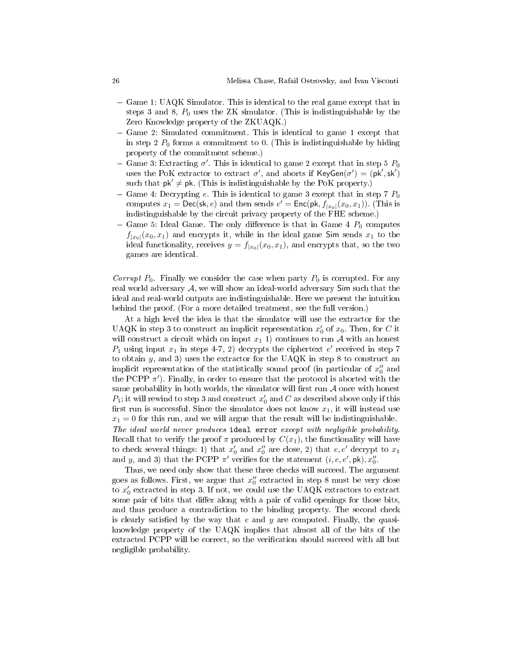- $-$  Game 1: UAQK Simulator. This is identical to the real game except that in steps 3 and 8,  $P_0$  uses the ZK simulator. (This is indistinguishable by the Zero Knowledge property of the ZKUAQK.)
- Game 2: Simulated commitment. This is identical to game 1 except that in step 2  $P_0$  forms a commitment to 0. (This is indistinguishable by hiding property of the commitment scheme.)
- Game 3: Extracting  $\sigma'$ . This is identical to game 2 except that in step 5  $P_0$ uses the PoK extractor to extract  $\sigma'$ , and aborts if KeyGen( $\sigma'$ ) = (pk', sk') such that  $pk' \neq pk$ . (This is indistinguishable by the PoK property.)
- Game 4: Decrypting e. This is identical to game 3 except that in step 7  $P_0$ computes  $x_1 = \text{Dec}(\textsf{sk}, e)$  and then sends  $e' = \text{Enc}(\textsf{pk}, f_{|x_0|}(x_0, x_1))$ . (This is indistinguishable by the circuit privacy property of the FHE scheme.)
- Game 5: Ideal Game. The only difference is that in Game 4  $P_0$  computes  $f_{|x_0|}(x_0, x_1)$  and encrypts it, while in the ideal game Sim sends  $x_1$  to the ideal functionality, receives  $y = f_{|x_0|}(x_0, x_1)$ , and encrypts that, so the two games are identical.

Corrupt  $P_0$ . Finally we consider the case when party  $P_0$  is corrupted. For any real world adversary  $A$ , we will show an ideal-world adversary Sim such that the ideal and real-world outputs are indistinguishable. Here we present the intuition behind the proof. (For a more detailed treatment, see the full version.)

At a high level the idea is that the simulator will use the extractor for the UAQK in step 3 to construct an implicit representation  $x'_0$  of  $x_0$ . Then, for C it will construct a circuit which on input  $x_1$  1) continues to run A with an honest  $P_1$  using input  $x_1$  in steps 4-7, 2) decrypts the ciphertext  $e'$  received in step 7 to obtain  $y$ , and 3) uses the extractor for the UAQK in step 8 to construct an implicit representation of the statistically sound proof (in particular of  $x_0''$  and the PCPP  $\pi'$ ). Finally, in order to ensure that the protocol is aborted with the same probability in both worlds, the simulator will first run  $A$  once with honest  $P_1$ ; it will rewind to step 3 and construct  $x'_0$  and  $C$  as described above only if this first run is successful. Since the simulator does not know  $x_1$ , it will instead use  $x_1 = 0$  for this run, and we will argue that the result will be indistinguishable. The ideal world never produces ideal error except with negligible probability. Recall that to verify the proof  $\pi$  produced by  $C(x_1)$ , the functionality will have to check several things: 1) that  $x'_0$  and  $x''_0$  are close, 2) that  $e, e'$  decrypt to  $x_1$ and y, and 3) that the PCPP  $\pi'$  verifies for the statement  $(i, e, e', \textsf{pk}), x_0'',$ 

Thus, we need only show that these three checks will succeed. The argument goes as follows. First, we argue that  $x_0''$  extracted in step 8 must be very close to  $x_0'$  extracted in step 3. If not, we could use the UAQK extractors to extract some pair of bits that differ along with a pair of valid openings for those bits, and thus produce a contradiction to the binding property. The second check is clearly satisfied by the way that  $e$  and  $y$  are computed. Finally, the quasiknowledge property of the UAQK implies that almost all of the bits of the extracted PCPP will be correct, so the verification should succeed with all but negligible probability.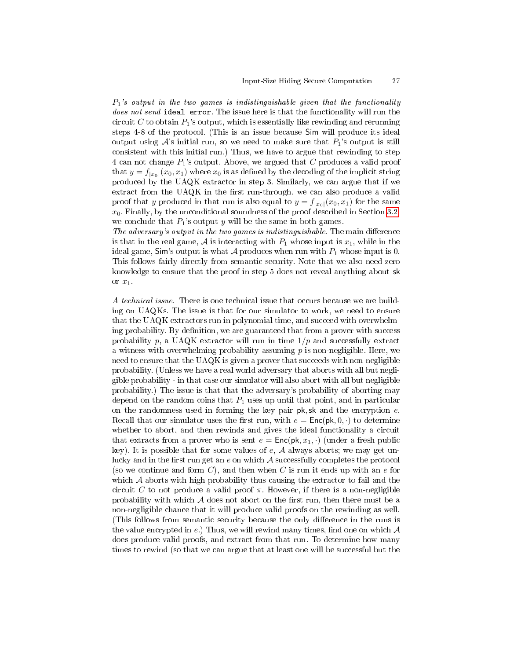$P_1$ 's output in the two games is indistinguishable given that the functionality does not send ideal error. The issue here is that the functionality will run the circuit C to obtain  $P_1$ 's output, which is essentially like rewinding and rerunning steps 4-8 of the protocol. (This is an issue because Sim will produce its ideal output using  $A$ 's initial run, so we need to make sure that  $P_1$ 's output is still consistent with this initial run.) Thus, we have to argue that rewinding to step 4 can not change  $P_1$ 's output. Above, we argued that C produces a valid proof that  $y = f_{x_0}(x_0, x_1)$  where  $x_0$  is as defined by the decoding of the implicit string produced by the UAQK extractor in step 3. Similarly, we can argue that if we extract from the UAQK in the first run-through, we can also produce a valid proof that y produced in that run is also equal to  $y = f_{x_0|}(x_0, x_1)$  for the same  $x_0$ . Finally, by the unconditional soundness of the proof described in Section [3.2,](#page-22-0) we conclude that  $P_1$ 's output y will be the same in both games.

The adversary's output in the two games is indistinguishable. The main difference is that in the real game, A is interacting with  $P_1$  whose input is  $x_1$ , while in the ideal game, Sim's output is what A produces when run with  $P_1$  whose input is 0. This follows fairly directly from semantic security. Note that we also need zero knowledge to ensure that the proof in step 5 does not reveal anything about sk or  $x_1$ .

A technical issue. There is one technical issue that occurs because we are building on UAQKs. The issue is that for our simulator to work, we need to ensure that the UAQK extractors run in polynomial time, and succeed with overwhelming probability. By definition, we are guaranteed that from a prover with success probability p, a UAQK extractor will run in time  $1/p$  and successfully extract a witness with overwhelming probability assuming  $p$  is non-negligible. Here, we need to ensure that the UAQK is given a prover that succeeds with non-negligible probability. (Unless we have a real world adversary that aborts with all but negligible probability - in that case our simulator will also abort with all but negligible probability.) The issue is that that the adversary's probability of aborting may depend on the random coins that  $P_1$  uses up until that point, and in particular on the randomness used in forming the key pair  $pk, sk$  and the encryption  $e$ . Recall that our simulator uses the first run, with  $e = \mathsf{Enc}(\mathsf{pk}, 0, \cdot)$  to determine whether to abort, and then rewinds and gives the ideal functionality a circuit that extracts from a prover who is sent  $e = \mathsf{Enc}(\mathsf{pk}, x_1, \cdot)$  (under a fresh public key). It is possible that for some values of  $e$ ,  $A$  always aborts; we may get unlucky and in the first run get an  $e$  on which  $\mathcal A$  successfully completes the protocol (so we continue and form  $C$ ), and then when  $C$  is run it ends up with an  $e$  for which  $A$  aborts with high probability thus causing the extractor to fail and the circuit C to not produce a valid proof  $\pi$ . However, if there is a non-negligible probability with which  $A$  does not abort on the first run, then there must be a non-negligible chance that it will produce valid proofs on the rewinding as well. (This follows from semantic security because the only difference in the runs is the value encrypted in e.) Thus, we will rewind many times, find one on which  $\mathcal A$ does produce valid proofs, and extract from that run. To determine how many times to rewind (so that we can argue that at least one will be successful but the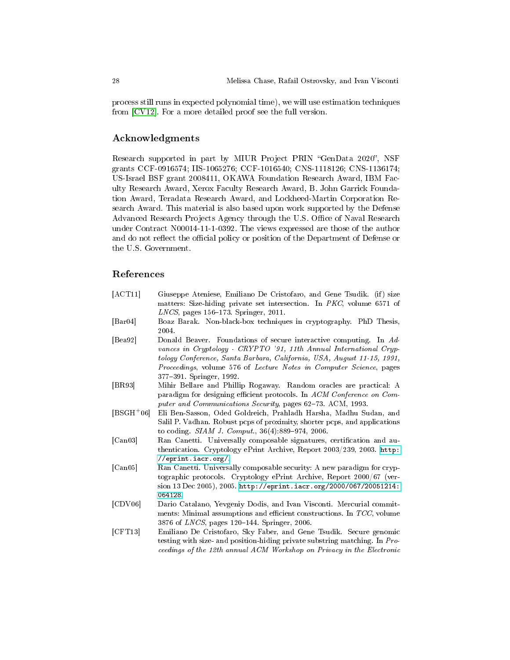process still runs in expected polynomial time), we will use estimation techniques from [\[CV12\]](#page-28-2). For a more detailed proof see the full version.

### Acknowledgments

Research supported in part by MIUR Project PRIN "GenData 2020", NSF grants CCF-0916574; IIS-1065276; CCF-1016540; CNS-1118126; CNS-1136174; US-Israel BSF grant 2008411, OKAWA Foundation Research Award, IBM Faculty Research Award, Xerox Faculty Research Award, B. John Garrick Foundation Award, Teradata Research Award, and Lockheed-Martin Corporation Research Award. This material is also based upon work supported by the Defense Advanced Research Projects Agency through the U.S. Office of Naval Research under Contract N00014-11-1-0392. The views expressed are those of the author and do not reflect the official policy or position of the Department of Defense or the U.S. Government.

## References

- <span id="page-27-2"></span>[ACT11] Giuseppe Ateniese, Emiliano De Cristofaro, and Gene Tsudik. (if) size matters: Size-hiding private set intersection. In PKC, volume 6571 of  $LNCS$ , pages 156-173. Springer, 2011.
- <span id="page-27-7"></span>[Bar04] Boaz Barak. Non-black-box techniques in cryptography. PhD Thesis, 2004.
- <span id="page-27-0"></span>[Bea92] Donald Beaver. Foundations of secure interactive computing. In Advances in Cryptology - CRYPTO '91, 11th Annual International Cryptology Conference, Santa Barbara, California, USA, August 11-15, 1991, Proceedings, volume 576 of Lecture Notes in Computer Science, pages 377391. Springer, 1992.
- <span id="page-27-4"></span>[BR93] Mihir Bellare and Phillip Rogaway. Random oracles are practical: A paradigm for designing efficient protocols. In ACM Conference on Computer and Communications Security, pages 62-73. ACM, 1993.
- <span id="page-27-8"></span>[BSGH<sup>+</sup>06] Eli Ben-Sasson, Oded Goldreich, Prahladh Harsha, Madhu Sudan, and Salil P. Vadhan. Robust pcps of proximity, shorter pcps, and applications to coding.  $SIAM$  J. Comput.,  $36(4):889-974$ ,  $2006$ .
- <span id="page-27-5"></span>[Can03] Ran Canetti. Universally composable signatures, certification and authentication. Cryptology ePrint Archive, Report 2003/239, 2003. [http:](http://eprint.iacr.org/) [//eprint.iacr.org/.](http://eprint.iacr.org/)
- <span id="page-27-1"></span>[Can05] Ran Canetti. Universally composable security: A new paradigm for cryptographic protocols. Cryptology ePrint Archive, Report 2000/67 (version 13 Dec 2005), 2005. [http://eprint.iacr.org/2000/067/20051214:](http://eprint.iacr.org/2000/067/20051214:064128) [064128.](http://eprint.iacr.org/2000/067/20051214:064128)
- <span id="page-27-6"></span>[CDV06] Dario Catalano, Yevgeniy Dodis, and Ivan Visconti. Mercurial commitments: Minimal assumptions and efficient constructions. In  $TCC$ , volume 3876 of *LNCS*, pages 120-144. Springer, 2006.
- <span id="page-27-3"></span>[CFT13] Emiliano De Cristofaro, Sky Faber, and Gene Tsudik. Secure genomic testing with size- and position-hiding private substring matching. In Proceedings of the 12th annual ACM Workshop on Privacy in the Electronic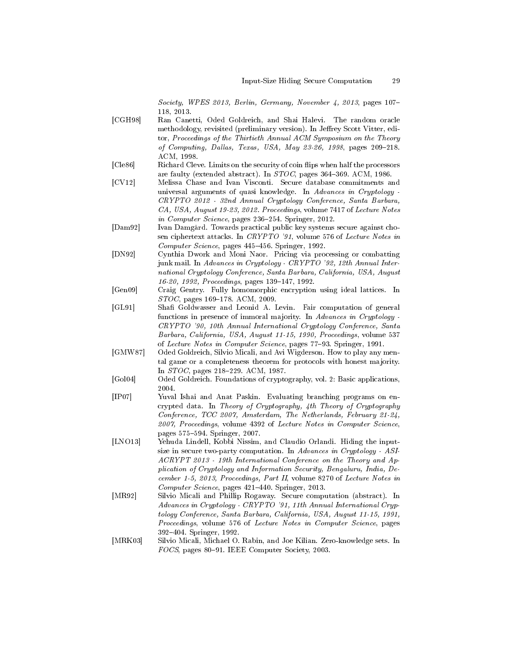Society, WPES 2013, Berlin, Germany, November 4, 2013, pages 107 118, 2013.

- <span id="page-28-7"></span>[CGH98] Ran Canetti, Oded Goldreich, and Shai Halevi. The random oracle methodology, revisited (preliminary version). In Jeffrey Scott Vitter, editor, Proceedings of the Thirtieth Annual ACM Symposium on the Theory of Computing, Dallas, Texas, USA, May 23-26, 1998, pages  $209-218$ . ACM, 1998.
- <span id="page-28-11"></span>[Cle86] Richard Cleve. Limits on the security of coin flips when half the processors are faulty (extended abstract). In  $STOC$ , pages 364-369. ACM, 1986.
- <span id="page-28-2"></span>[CV12] Melissa Chase and Ivan Visconti. Secure database commitments and universal arguments of quasi knowledge. In Advances in Cryptology - CRYPTO 2012 - 32nd Annual Cryptology Conference, Santa Barbara, CA, USA, August 19-23, 2012. Proceedings, volume 7417 of Lecture Notes in Computer Science, pages 236-254. Springer, 2012.
- <span id="page-28-8"></span>[Dam92] Ivan Damgård. Towards practical public key systems secure against chosen ciphertext attacks. In CRYPTO '91, volume 576 of Lecture Notes in Computer Science, pages 445-456. Springer, 1992.
- <span id="page-28-9"></span>[DN92] Cynthia Dwork and Moni Naor. Pricing via processing or combatting junk mail. In Advances in Cryptology - CRYPTO '92, 12th Annual International Cryptology Conference, Santa Barbara, California, USA, August 16-20, 1992, Proceedings, pages 139-147, 1992.
- <span id="page-28-12"></span>[Gen09] Craig Gentry. Fully homomorphic encryption using ideal lattices. In  $STOC$ , pages 169-178. ACM, 2009.
- <span id="page-28-3"></span>[GL91] Shafi Goldwasser and Leonid A. Levin. Fair computation of general functions in presence of immoral majority. In Advances in Cryptology -CRYPTO '90, 10th Annual International Cryptology Conference, Santa Barbara, California, USA, August 11-15, 1990, Proceedings, volume 537 of Lecture Notes in Computer Science, pages 77-93. Springer, 1991.
- <span id="page-28-0"></span>[GMW87] Oded Goldreich, Silvio Micali, and Avi Wigderson. How to play any mental game or a completeness theorem for protocols with honest majority. In *STOC*, pages 218-229. ACM, 1987.
- <span id="page-28-10"></span>[Gol04] Oded Goldreich. Foundations of cryptography, vol. 2: Basic applications, 2004.
- <span id="page-28-6"></span>[IP07] Yuval Ishai and Anat Paskin. Evaluating branching programs on encrypted data. In Theory of Cryptography, 4th Theory of Cryptography Conference, TCC 2007, Amsterdam, The Netherlands, February 21-24, 2007, Proceedings, volume 4392 of Lecture Notes in Computer Science, pages 575-594. Springer, 2007.
- <span id="page-28-1"></span>[LNO13] Yehuda Lindell, Kobbi Nissim, and Claudio Orlandi. Hiding the inputsize in secure two-party computation. In Advances in Cryptology - ASI-ACRYPT 2013 - 19th International Conference on the Theory and Application of Cryptology and Information Security, Bengaluru, India, December 1-5, 2013, Proceedings, Part II, volume 8270 of Lecture Notes in  $Computer Science$ , pages  $421-440$ . Springer, 2013.
- <span id="page-28-4"></span>[MR92] Silvio Micali and Phillip Rogaway. Secure computation (abstract). In Advances in Cryptology - CRYPTO '91, 11th Annual International Cryptology Conference, Santa Barbara, California, USA, August 11-15, 1991, Proceedings, volume 576 of Lecture Notes in Computer Science, pages 392404. Springer, 1992.
- <span id="page-28-5"></span>[MRK03] Silvio Micali, Michael O. Rabin, and Joe Kilian. Zero-knowledge sets. In FOCS, pages 80–91. IEEE Computer Society, 2003.